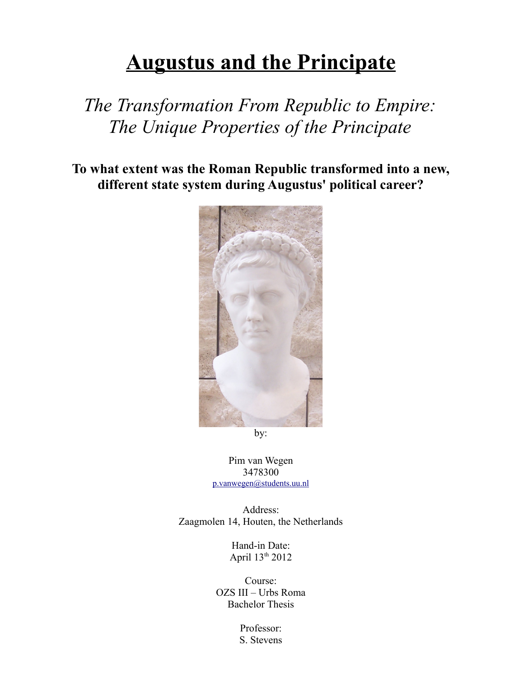# **Augustus and the Principate**

## *The Transformation From Republic to Empire: The Unique Properties of the Principate*

**To what extent was the Roman Republic transformed into a new, different state system during Augustus' political career?**



by:

Pim van Wegen 3478300 [p.vanwegen@students.uu.nl](mailto:p.vanwegen@students.uu.nl)

Address: Zaagmolen 14, Houten, the Netherlands

> Hand-in Date: April 13th 2012

Course: OZS III – Urbs Roma Bachelor Thesis

> Professor: S. Stevens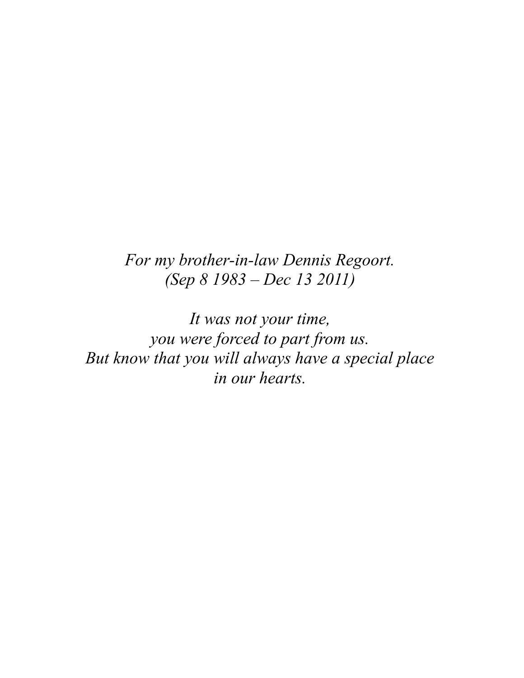### *For my brother-in-law Dennis Regoort. (Sep 8 1983 – Dec 13 2011)*

*It was not your time, you were forced to part from us. But know that you will always have a special place in our hearts.*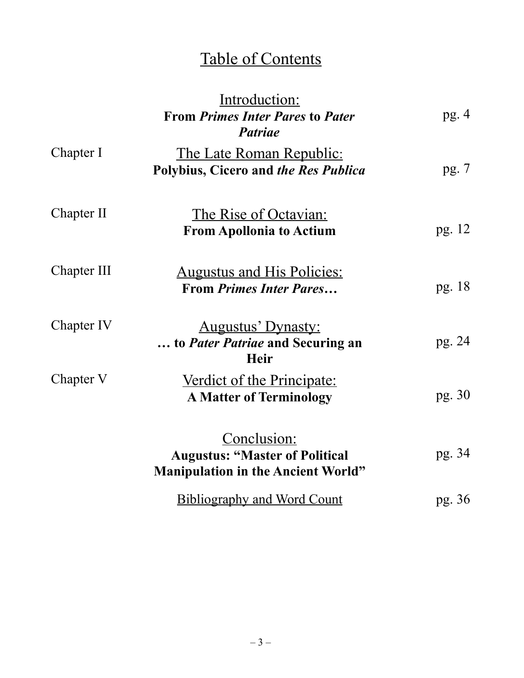## Table of Contents

|             | Introduction:<br><b>From Primes Inter Pares to Pater</b><br><b>Patriae</b>                               | pg.4   |
|-------------|----------------------------------------------------------------------------------------------------------|--------|
| Chapter I   | <u>The Late Roman Republic:</u><br>Polybius, Cicero and the Res Publica                                  | pg. 7  |
| Chapter II  | <u>The Rise of Octavian:</u><br><b>From Apollonia to Actium</b>                                          | pg. 12 |
| Chapter III | <u>Augustus and His Policies:</u><br><b>From Primes Inter Pares</b>                                      | pg. 18 |
| Chapter IV  | <b>Augustus' Dynasty:</b><br>to Pater Patriae and Securing an<br><b>Heir</b>                             | pg. 24 |
| Chapter V   | <u>Verdict of the Principate:</u><br><b>A Matter of Terminology</b>                                      | pg. 30 |
|             | <u>Conclusion:</u><br><b>Augustus: "Master of Political</b><br><b>Manipulation in the Ancient World"</b> | pg. 34 |
|             | <b>Bibliography and Word Count</b>                                                                       | pg. 36 |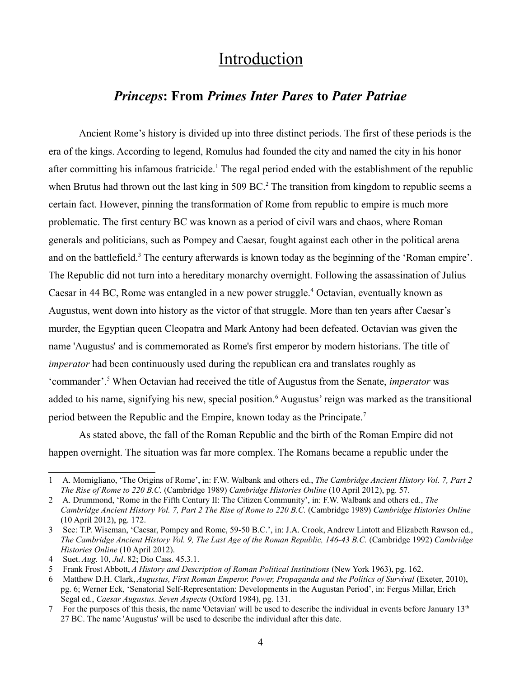### Introduction

### *Princeps***: From** *Primes Inter Pares* **to** *Pater Patriae*

Ancient Rome's history is divided up into three distinct periods. The first of these periods is the era of the kings. According to legend, Romulus had founded the city and named the city in his honor after committing his infamous fratricide.<sup>[1](#page-3-0)</sup> The regal period ended with the establishment of the republic when Brutus had thrown out the last king in 509 BC.<sup>[2](#page-3-1)</sup> The transition from kingdom to republic seems a certain fact. However, pinning the transformation of Rome from republic to empire is much more problematic. The first century BC was known as a period of civil wars and chaos, where Roman generals and politicians, such as Pompey and Caesar, fought against each other in the political arena and on the battlefield.<sup>[3](#page-3-2)</sup> The century afterwards is known today as the beginning of the 'Roman empire'. The Republic did not turn into a hereditary monarchy overnight. Following the assassination of Julius Caesar in [4](#page-3-3)4 BC, Rome was entangled in a new power struggle.<sup>4</sup> Octavian, eventually known as Augustus, went down into history as the victor of that struggle. More than ten years after Caesar's murder, the Egyptian queen Cleopatra and Mark Antony had been defeated. Octavian was given the name 'Augustus' and is commemorated as Rome's first emperor by modern historians. The title of *imperator* had been continuously used during the republican era and translates roughly as 'commander'.<sup>[5](#page-3-4)</sup> When Octavian had received the title of Augustus from the Senate, *imperator* was added to his name, signifying his new, special position.<sup>[6](#page-3-5)</sup> Augustus' reign was marked as the transitional period between the Republic and the Empire, known today as the Principate.[7](#page-3-6)

As stated above, the fall of the Roman Republic and the birth of the Roman Empire did not happen overnight. The situation was far more complex. The Romans became a republic under the

<span id="page-3-0"></span><sup>1</sup> A. Momigliano, 'The Origins of Rome', in: F.W. Walbank and others ed., *The Cambridge Ancient History Vol. 7, Part 2 The Rise of Rome to 220 B.C.* (Cambridge 1989) *Cambridge Histories Online* (10 April 2012), pg. 57.

<span id="page-3-1"></span><sup>2</sup> A. Drummond, 'Rome in the Fifth Century II: The Citizen Community', in: F.W. Walbank and others ed., *The Cambridge Ancient History Vol. 7, Part 2 The Rise of Rome to 220 B.C.* (Cambridge 1989) *Cambridge Histories Online* (10 April 2012), pg. 172.

<span id="page-3-2"></span><sup>3</sup> See: T.P. Wiseman, 'Caesar, Pompey and Rome, 59-50 B.C.', in: J.A. Crook, Andrew Lintott and Elizabeth Rawson ed., *The Cambridge Ancient History Vol. 9, The Last Age of the Roman Republic, 146-43 B.C.* (Cambridge 1992) *Cambridge Histories Online* (10 April 2012).

<span id="page-3-3"></span><sup>4</sup> Suet. *Aug*. 10, *Jul*. 82; Dio Cass. 45.3.1.

<span id="page-3-4"></span><sup>5</sup> Frank Frost Abbott, *A History and Description of Roman Political Institutions* (New York 1963), pg. 162.

<span id="page-3-5"></span><sup>6</sup> Matthew D.H. Clark, *Augustus, First Roman Emperor. Power, Propaganda and the Politics of Survival* (Exeter, 2010), pg. 6; Werner Eck, 'Senatorial Self-Representation: Developments in the Augustan Period', in: Fergus Millar, Erich Segal ed., *Caesar Augustus. Seven Aspects* (Oxford 1984), pg. 131.

<span id="page-3-6"></span><sup>7</sup> For the purposes of this thesis, the name 'Octavian' will be used to describe the individual in events before January  $13<sup>th</sup>$ 27 BC. The name 'Augustus' will be used to describe the individual after this date.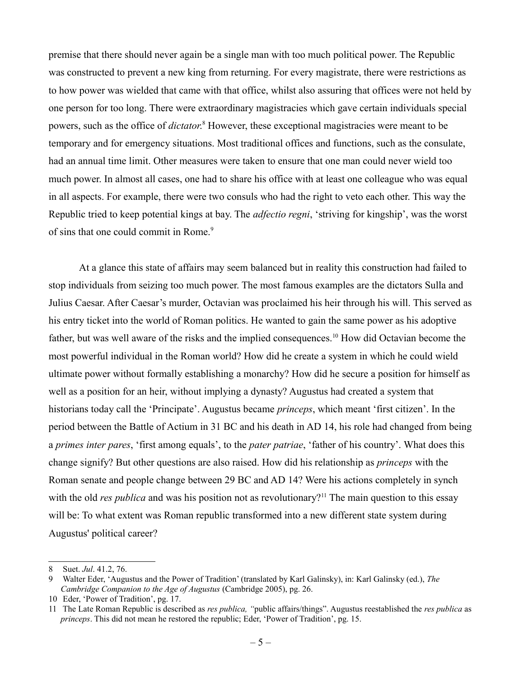premise that there should never again be a single man with too much political power. The Republic was constructed to prevent a new king from returning. For every magistrate, there were restrictions as to how power was wielded that came with that office, whilst also assuring that offices were not held by one person for too long. There were extraordinary magistracies which gave certain individuals special powers, such as the office of *dictator*.<sup>[8](#page-4-0)</sup> However, these exceptional magistracies were meant to be temporary and for emergency situations. Most traditional offices and functions, such as the consulate, had an annual time limit. Other measures were taken to ensure that one man could never wield too much power. In almost all cases, one had to share his office with at least one colleague who was equal in all aspects. For example, there were two consuls who had the right to veto each other. This way the Republic tried to keep potential kings at bay. The *adfectio regni*, 'striving for kingship', was the worst of sins that one could commit in Rome.<sup>[9](#page-4-1)</sup>

At a glance this state of affairs may seem balanced but in reality this construction had failed to stop individuals from seizing too much power. The most famous examples are the dictators Sulla and Julius Caesar. After Caesar's murder, Octavian was proclaimed his heir through his will. This served as his entry ticket into the world of Roman politics. He wanted to gain the same power as his adoptive father, but was well aware of the risks and the implied consequences.<sup>[10](#page-4-2)</sup> How did Octavian become the most powerful individual in the Roman world? How did he create a system in which he could wield ultimate power without formally establishing a monarchy? How did he secure a position for himself as well as a position for an heir, without implying a dynasty? Augustus had created a system that historians today call the 'Principate'. Augustus became *princeps*, which meant 'first citizen'. In the period between the Battle of Actium in 31 BC and his death in AD 14, his role had changed from being a *primes inter pares*, 'first among equals', to the *pater patriae*, 'father of his country'. What does this change signify? But other questions are also raised. How did his relationship as *princeps* with the Roman senate and people change between 29 BC and AD 14? Were his actions completely in synch with the old *res publica* and was his position not as revolutionary?<sup>[11](#page-4-3)</sup> The main question to this essay will be: To what extent was Roman republic transformed into a new different state system during Augustus' political career?

<span id="page-4-0"></span><sup>8</sup> Suet. *Jul*. 41.2, 76.

<span id="page-4-1"></span><sup>9</sup> Walter Eder, 'Augustus and the Power of Tradition' (translated by Karl Galinsky), in: Karl Galinsky (ed.), *The Cambridge Companion to the Age of Augustus* (Cambridge 2005), pg. 26.

<span id="page-4-2"></span><sup>10</sup> Eder, 'Power of Tradition', pg. 17.

<span id="page-4-3"></span><sup>11</sup> The Late Roman Republic is described as *res publica, "*public affairs/things". Augustus reestablished the *res publica* as *princeps*. This did not mean he restored the republic; Eder, 'Power of Tradition', pg. 15.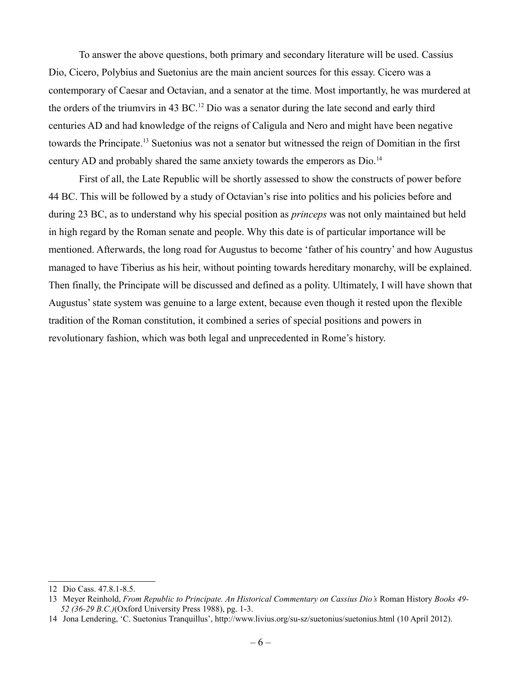To answer the above questions, both primary and secondary literature will be used. Cassius Dio, Cicero, Polybius and Suetonius are the main ancient sources for this essay. Cicero was a contemporary of Caesar and Octavian, and a senator at the time. Most importantly, he was murdered at the orders of the triumvirs in 43 BC.<sup>[12](#page-5-0)</sup> Dio was a senator during the late second and early third centuries AD and had knowledge of the reigns of Caligula and Nero and might have been negative towards the Principate.<sup>[13](#page-5-1)</sup> Suetonius was not a senator but witnessed the reign of Domitian in the first century AD and probably shared the same anxiety towards the emperors as Dio.<sup>[14](#page-5-2)</sup>

First of all, the Late Republic will be shortly assessed to show the constructs of power before 44 BC. This will be followed by a study of Octavian's rise into politics and his policies before and during 23 BC, as to understand why his special position as *princeps* was not only maintained but held in high regard by the Roman senate and people. Why this date is of particular importance will be mentioned. Afterwards, the long road for Augustus to become 'father of his country' and how Augustus managed to have Tiberius as his heir, without pointing towards hereditary monarchy, will be explained. Then finally, the Principate will be discussed and defined as a polity. Ultimately, I will have shown that Augustus' state system was genuine to a large extent, because even though it rested upon the flexible tradition of the Roman constitution, it combined a series of special positions and powers in revolutionary fashion, which was both legal and unprecedented in Rome's history.

<span id="page-5-0"></span><sup>12</sup> Dio Cass. 47.8.1-8.5.

<span id="page-5-1"></span><sup>13</sup> Meyer Reinhold, *From Republic to Principate. An Historical Commentary on Cassius Dio's* Roman History *Books 49- 52 (36-29 B.C.)*(Oxford University Press 1988), pg. 1-3.

<span id="page-5-2"></span><sup>14</sup> Jona Lendering, 'C. Suetonius Tranquillus', http://www.livius.org/su-sz/suetonius/suetonius.html (10 April 2012).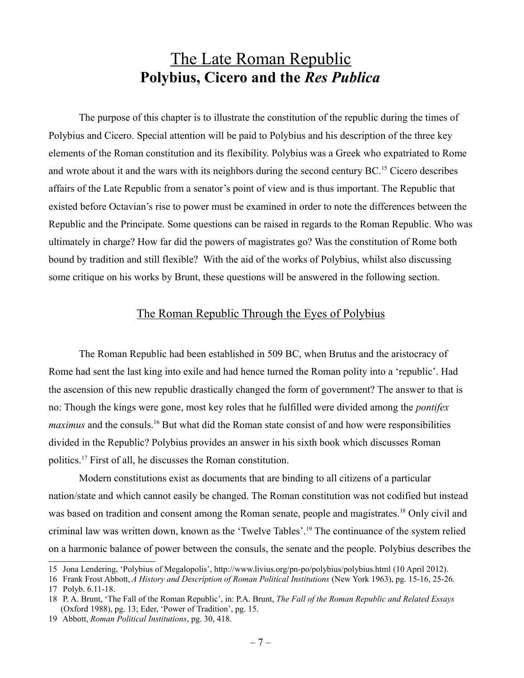### The Late Roman Republic **Polybius, Cicero and the** *Res Publica*

The purpose of this chapter is to illustrate the constitution of the republic during the times of Polybius and Cicero. Special attention will be paid to Polybius and his description of the three key elements of the Roman constitution and its flexibility. Polybius was a Greek who expatriated to Rome and wrote about it and the wars with its neighbors during the second century BC.<sup>[15](#page-6-0)</sup> Cicero describes affairs of the Late Republic from a senator's point of view and is thus important. The Republic that existed before Octavian's rise to power must be examined in order to note the differences between the Republic and the Principate. Some questions can be raised in regards to the Roman Republic. Who was ultimately in charge? How far did the powers of magistrates go? Was the constitution of Rome both bound by tradition and still flexible? With the aid of the works of Polybius, whilst also discussing some critique on his works by Brunt, these questions will be answered in the following section.

#### The Roman Republic Through the Eyes of Polybius

The Roman Republic had been established in 509 BC, when Brutus and the aristocracy of Rome had sent the last king into exile and had hence turned the Roman polity into a 'republic'. Had the ascension of this new republic drastically changed the form of government? The answer to that is no: Though the kings were gone, most key roles that he fulfilled were divided among the *pontifex maximus* and the consuls.[16](#page-6-1) But what did the Roman state consist of and how were responsibilities divided in the Republic? Polybius provides an answer in his sixth book which discusses Roman politics.[17](#page-6-2) First of all, he discusses the Roman constitution.

Modern constitutions exist as documents that are binding to all citizens of a particular nation/state and which cannot easily be changed. The Roman constitution was not codified but instead was based on tradition and consent among the Roman senate, people and magistrates.<sup>[18](#page-6-3)</sup> Only civil and criminal law was written down, known as the 'Twelve Tables'.[19](#page-6-4) The continuance of the system relied on a harmonic balance of power between the consuls, the senate and the people. Polybius describes the

<span id="page-6-0"></span><sup>15</sup> Jona Lendering, 'Polybius of Megalopolis', http://www.livius.org/pn-po/polybius/polybius.html (10 April 2012).

<span id="page-6-2"></span><span id="page-6-1"></span><sup>16</sup> Frank Frost Abbott, *A History and Description of Roman Political Institutions* (New York 1963), pg. 15-16, 25-26. 17 Polyb. 6.11-18.

<span id="page-6-3"></span><sup>18</sup> P. A. Brunt, 'The Fall of the Roman Republic', in: P.A. Brunt, *The Fall of the Roman Republic and Related Essays* (Oxford 1988), pg. 13; Eder, 'Power of Tradition', pg. 15.

<span id="page-6-4"></span><sup>19</sup> Abbott, *Roman Political Institutions*, pg. 30, 418.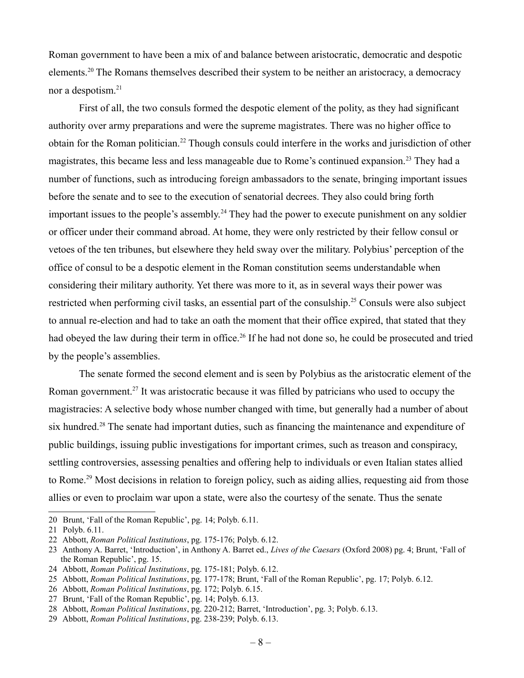Roman government to have been a mix of and balance between aristocratic, democratic and despotic elements.[20](#page-7-0) The Romans themselves described their system to be neither an aristocracy, a democracy nor a despotism.<sup>[21](#page-7-1)</sup>

First of all, the two consuls formed the despotic element of the polity, as they had significant authority over army preparations and were the supreme magistrates. There was no higher office to obtain for the Roman politician.[22](#page-7-2) Though consuls could interfere in the works and jurisdiction of other magistrates, this became less and less manageable due to Rome's continued expansion.<sup>[23](#page-7-3)</sup> They had a number of functions, such as introducing foreign ambassadors to the senate, bringing important issues before the senate and to see to the execution of senatorial decrees. They also could bring forth important issues to the people's assembly.<sup>[24](#page-7-4)</sup> They had the power to execute punishment on any soldier or officer under their command abroad. At home, they were only restricted by their fellow consul or vetoes of the ten tribunes, but elsewhere they held sway over the military. Polybius' perception of the office of consul to be a despotic element in the Roman constitution seems understandable when considering their military authority. Yet there was more to it, as in several ways their power was restricted when performing civil tasks, an essential part of the consulship.<sup>[25](#page-7-5)</sup> Consuls were also subject to annual re-election and had to take an oath the moment that their office expired, that stated that they had obeyed the law during their term in office.<sup>[26](#page-7-6)</sup> If he had not done so, he could be prosecuted and tried by the people's assemblies.

The senate formed the second element and is seen by Polybius as the aristocratic element of the Roman government.<sup>[27](#page-7-7)</sup> It was aristocratic because it was filled by patricians who used to occupy the magistracies: A selective body whose number changed with time, but generally had a number of about six hundred.<sup>[28](#page-7-8)</sup> The senate had important duties, such as financing the maintenance and expenditure of public buildings, issuing public investigations for important crimes, such as treason and conspiracy, settling controversies, assessing penalties and offering help to individuals or even Italian states allied to Rome.[29](#page-7-9) Most decisions in relation to foreign policy, such as aiding allies, requesting aid from those allies or even to proclaim war upon a state, were also the courtesy of the senate. Thus the senate

<span id="page-7-0"></span><sup>20</sup> Brunt, 'Fall of the Roman Republic', pg. 14; Polyb. 6.11.

<span id="page-7-1"></span><sup>21</sup> Polyb. 6.11.

<span id="page-7-2"></span><sup>22</sup> Abbott, *Roman Political Institutions*, pg. 175-176; Polyb. 6.12.

<span id="page-7-3"></span><sup>23</sup> Anthony A. Barret, 'Introduction', in Anthony A. Barret ed., *Lives of the Caesars* (Oxford 2008) pg. 4; Brunt, 'Fall of the Roman Republic', pg. 15.

<span id="page-7-4"></span><sup>24</sup> Abbott, *Roman Political Institutions*, pg. 175-181; Polyb. 6.12.

<span id="page-7-5"></span><sup>25</sup> Abbott, *Roman Political Institutions*, pg. 177-178; Brunt, 'Fall of the Roman Republic', pg. 17; Polyb. 6.12.

<span id="page-7-6"></span><sup>26</sup> Abbott, *Roman Political Institutions*, pg. 172; Polyb. 6.15.

<span id="page-7-7"></span><sup>27</sup> Brunt, 'Fall of the Roman Republic', pg. 14; Polyb. 6.13.

<span id="page-7-8"></span><sup>28</sup> Abbott, *Roman Political Institutions*, pg. 220-212; Barret, 'Introduction', pg. 3; Polyb. 6.13.

<span id="page-7-9"></span><sup>29</sup> Abbott, *Roman Political Institutions*, pg. 238-239; Polyb. 6.13.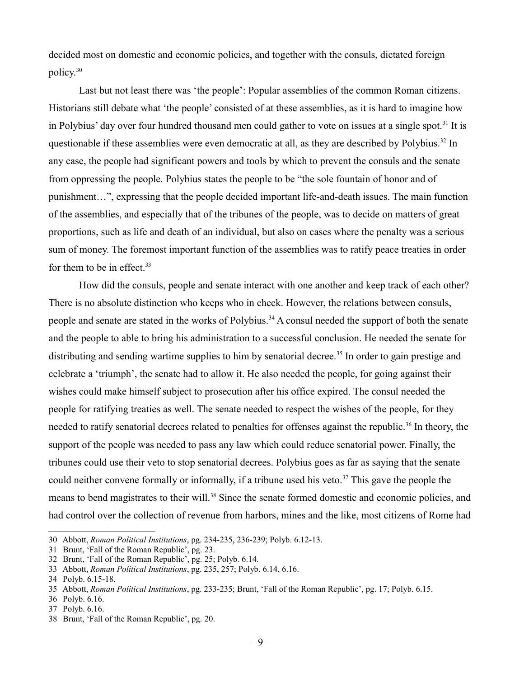decided most on domestic and economic policies, and together with the consuls, dictated foreign policy.[30](#page-8-0)

Last but not least there was 'the people': Popular assemblies of the common Roman citizens. Historians still debate what 'the people' consisted of at these assemblies, as it is hard to imagine how in Polybius' day over four hundred thousand men could gather to vote on issues at a single spot.<sup>[31](#page-8-1)</sup> It is questionable if these assemblies were even democratic at all, as they are described by Polybius.<sup>[32](#page-8-2)</sup> In any case, the people had significant powers and tools by which to prevent the consuls and the senate from oppressing the people. Polybius states the people to be "the sole fountain of honor and of punishment…", expressing that the people decided important life-and-death issues. The main function of the assemblies, and especially that of the tribunes of the people, was to decide on matters of great proportions, such as life and death of an individual, but also on cases where the penalty was a serious sum of money. The foremost important function of the assemblies was to ratify peace treaties in order for them to be in effect. $33$ 

How did the consuls, people and senate interact with one another and keep track of each other? There is no absolute distinction who keeps who in check. However, the relations between consuls, people and senate are stated in the works of Polybius.<sup>[34](#page-8-4)</sup> A consul needed the support of both the senate and the people to able to bring his administration to a successful conclusion. He needed the senate for distributing and sending wartime supplies to him by senatorial decree.<sup>[35](#page-8-5)</sup> In order to gain prestige and celebrate a 'triumph', the senate had to allow it. He also needed the people, for going against their wishes could make himself subject to prosecution after his office expired. The consul needed the people for ratifying treaties as well. The senate needed to respect the wishes of the people, for they needed to ratify senatorial decrees related to penalties for offenses against the republic.<sup>[36](#page-8-6)</sup> In theory, the support of the people was needed to pass any law which could reduce senatorial power. Finally, the tribunes could use their veto to stop senatorial decrees. Polybius goes as far as saying that the senate could neither convene formally or informally, if a tribune used his veto.<sup>[37](#page-8-7)</sup> This gave the people the means to bend magistrates to their will.<sup>[38](#page-8-8)</sup> Since the senate formed domestic and economic policies, and had control over the collection of revenue from harbors, mines and the like, most citizens of Rome had

<span id="page-8-0"></span><sup>30</sup> Abbott, *Roman Political Institutions*, pg. 234-235, 236-239; Polyb. 6.12-13.

<span id="page-8-1"></span><sup>31</sup> Brunt, 'Fall of the Roman Republic', pg. 23.

<span id="page-8-2"></span><sup>32</sup> Brunt, 'Fall of the Roman Republic', pg. 25; Polyb. 6.14.

<span id="page-8-3"></span><sup>33</sup> Abbott, *Roman Political Institutions*, pg. 235, 257; Polyb. 6.14, 6.16.

<span id="page-8-4"></span><sup>34</sup> Polyb. 6.15-18.

<span id="page-8-5"></span><sup>35</sup> Abbott, *Roman Political Institutions*, pg. 233-235; Brunt, 'Fall of the Roman Republic', pg. 17; Polyb. 6.15.

<span id="page-8-6"></span><sup>36</sup> Polyb. 6.16.

<span id="page-8-7"></span><sup>37</sup> Polyb. 6.16.

<span id="page-8-8"></span><sup>38</sup> Brunt, 'Fall of the Roman Republic', pg. 20.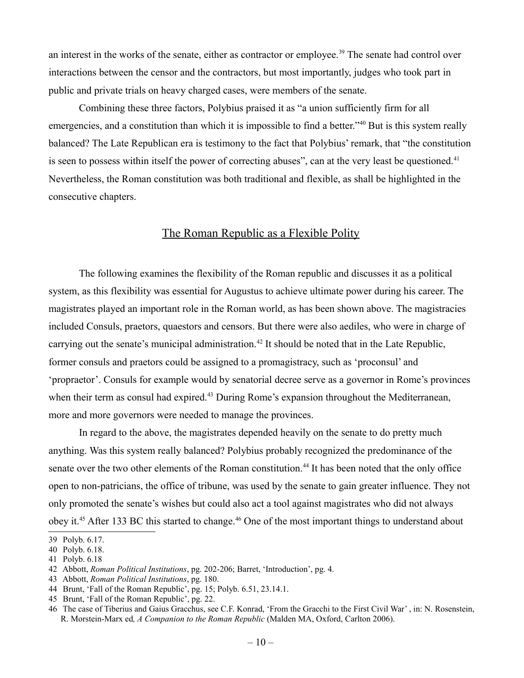an interest in the works of the senate, either as contractor or employee.<sup>[39](#page-9-0)</sup> The senate had control over interactions between the censor and the contractors, but most importantly, judges who took part in public and private trials on heavy charged cases, were members of the senate.

Combining these three factors, Polybius praised it as "a union sufficiently firm for all emergencies, and a constitution than which it is impossible to find a better.<sup>2[40](#page-9-1)</sup> But is this system really balanced? The Late Republican era is testimony to the fact that Polybius' remark, that "the constitution is seen to possess within itself the power of correcting abuses", can at the very least be questioned.<sup>[41](#page-9-2)</sup> Nevertheless, the Roman constitution was both traditional and flexible, as shall be highlighted in the consecutive chapters.

#### The Roman Republic as a Flexible Polity

The following examines the flexibility of the Roman republic and discusses it as a political system, as this flexibility was essential for Augustus to achieve ultimate power during his career. The magistrates played an important role in the Roman world, as has been shown above. The magistracies included Consuls, praetors, quaestors and censors. But there were also aediles, who were in charge of carrying out the senate's municipal administration.<sup>[42](#page-9-3)</sup> It should be noted that in the Late Republic, former consuls and praetors could be assigned to a promagistracy, such as 'proconsul' and 'propraetor'. Consuls for example would by senatorial decree serve as a governor in Rome's provinces when their term as consul had expired.<sup>[43](#page-9-4)</sup> During Rome's expansion throughout the Mediterranean, more and more governors were needed to manage the provinces.

In regard to the above, the magistrates depended heavily on the senate to do pretty much anything. Was this system really balanced? Polybius probably recognized the predominance of the senate over the two other elements of the Roman constitution.<sup>[44](#page-9-5)</sup> It has been noted that the only office open to non-patricians, the office of tribune, was used by the senate to gain greater influence. They not only promoted the senate's wishes but could also act a tool against magistrates who did not always obey it.<sup>[45](#page-9-6)</sup> After 133 BC this started to change.<sup>[46](#page-9-7)</sup> One of the most important things to understand about

<span id="page-9-0"></span><sup>39</sup> Polyb. 6.17.

<span id="page-9-1"></span><sup>40</sup> Polyb. 6.18.

<span id="page-9-2"></span><sup>41</sup> Polyb. 6.18

<span id="page-9-3"></span><sup>42</sup> Abbott, *Roman Political Institutions*, pg. 202-206; Barret, 'Introduction', pg. 4.

<span id="page-9-4"></span><sup>43</sup> Abbott, *Roman Political Institutions*, pg. 180.

<span id="page-9-5"></span><sup>44</sup> Brunt, 'Fall of the Roman Republic', pg. 15; Polyb. 6.51, 23.14.1.

<span id="page-9-6"></span><sup>45</sup> Brunt, 'Fall of the Roman Republic', pg. 22.

<span id="page-9-7"></span><sup>46</sup> The case of Tiberius and Gaius Gracchus, see C.F. Konrad, 'From the Gracchi to the First Civil War' , in: N. Rosenstein, R. Morstein-Marx ed*, A Companion to the Roman Republic* (Malden MA, Oxford, Carlton 2006).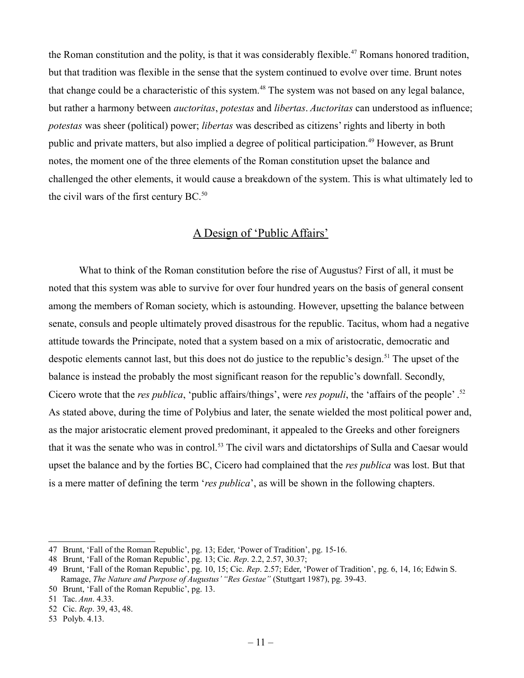the Roman constitution and the polity, is that it was considerably flexible.<sup>[47](#page-10-0)</sup> Romans honored tradition, but that tradition was flexible in the sense that the system continued to evolve over time. Brunt notes that change could be a characteristic of this system.<sup>[48](#page-10-1)</sup> The system was not based on any legal balance, but rather a harmony between *auctoritas*, *potestas* and *libertas*. *Auctoritas* can understood as influence; *potestas* was sheer (political) power; *libertas* was described as citizens' rights and liberty in both public and private matters, but also implied a degree of political participation.<sup>[49](#page-10-2)</sup> However, as Brunt notes, the moment one of the three elements of the Roman constitution upset the balance and challenged the other elements, it would cause a breakdown of the system. This is what ultimately led to the civil wars of the first century  $BC<sub>0</sub>$ <sup>[50](#page-10-3)</sup>

#### A Design of 'Public Affairs'

What to think of the Roman constitution before the rise of Augustus? First of all, it must be noted that this system was able to survive for over four hundred years on the basis of general consent among the members of Roman society, which is astounding. However, upsetting the balance between senate, consuls and people ultimately proved disastrous for the republic. Tacitus, whom had a negative attitude towards the Principate, noted that a system based on a mix of aristocratic, democratic and despotic elements cannot last, but this does not do justice to the republic's design.<sup>[51](#page-10-4)</sup> The upset of the balance is instead the probably the most significant reason for the republic's downfall. Secondly, Cicero wrote that the *res publica*, 'public affairs/things', were *res populi*, the 'affairs of the people' .[52](#page-10-5) As stated above, during the time of Polybius and later, the senate wielded the most political power and, as the major aristocratic element proved predominant, it appealed to the Greeks and other foreigners that it was the senate who was in control.<sup>[53](#page-10-6)</sup> The civil wars and dictatorships of Sulla and Caesar would upset the balance and by the forties BC, Cicero had complained that the *res publica* was lost. But that is a mere matter of defining the term '*res publica*', as will be shown in the following chapters.

<span id="page-10-0"></span><sup>47</sup> Brunt, 'Fall of the Roman Republic', pg. 13; Eder, 'Power of Tradition', pg. 15-16.

<span id="page-10-1"></span><sup>48</sup> Brunt, 'Fall of the Roman Republic', pg. 13; Cic. *Rep*. 2.2, 2.57, 30.37;

<span id="page-10-2"></span><sup>49</sup> Brunt, 'Fall of the Roman Republic', pg. 10, 15; Cic. *Rep*. 2.57; Eder, 'Power of Tradition', pg. 6, 14, 16; Edwin S. Ramage, *The Nature and Purpose of Augustus' "Res Gestae"* (Stuttgart 1987), pg. 39-43.

<span id="page-10-3"></span><sup>50</sup> Brunt, 'Fall of the Roman Republic', pg. 13.

<span id="page-10-4"></span><sup>51</sup> Tac. *Ann*. 4.33.

<span id="page-10-5"></span><sup>52</sup> Cic. *Rep*. 39, 43, 48.

<span id="page-10-6"></span><sup>53</sup> Polyb. 4.13.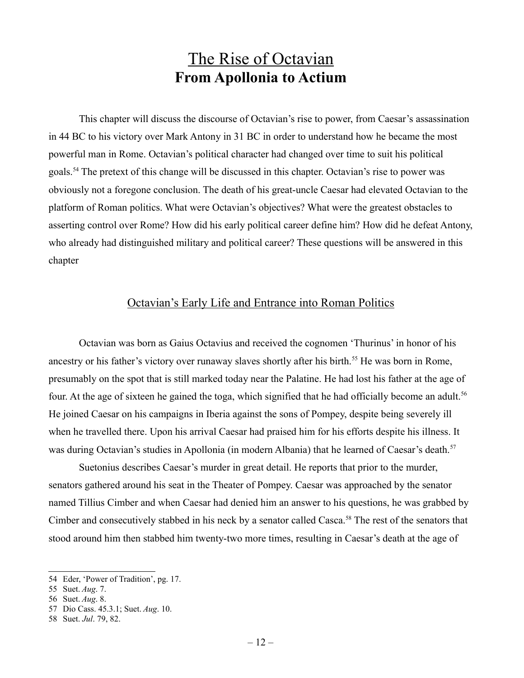### The Rise of Octavian **From Apollonia to Actium**

This chapter will discuss the discourse of Octavian's rise to power, from Caesar's assassination in 44 BC to his victory over Mark Antony in 31 BC in order to understand how he became the most powerful man in Rome. Octavian's political character had changed over time to suit his political goals.[54](#page-11-0) The pretext of this change will be discussed in this chapter. Octavian's rise to power was obviously not a foregone conclusion. The death of his great-uncle Caesar had elevated Octavian to the platform of Roman politics. What were Octavian's objectives? What were the greatest obstacles to asserting control over Rome? How did his early political career define him? How did he defeat Antony, who already had distinguished military and political career? These questions will be answered in this chapter

#### Octavian's Early Life and Entrance into Roman Politics

Octavian was born as Gaius Octavius and received the cognomen 'Thurinus' in honor of his ancestry or his father's victory over runaway slaves shortly after his birth.<sup>[55](#page-11-1)</sup> He was born in Rome, presumably on the spot that is still marked today near the Palatine. He had lost his father at the age of four. At the age of sixteen he gained the toga, which signified that he had officially become an adult.<sup>[56](#page-11-2)</sup> He joined Caesar on his campaigns in Iberia against the sons of Pompey, despite being severely ill when he travelled there. Upon his arrival Caesar had praised him for his efforts despite his illness. It was during Octavian's studies in Apollonia (in modern Albania) that he learned of Caesar's death.<sup>[57](#page-11-3)</sup>

Suetonius describes Caesar's murder in great detail. He reports that prior to the murder, senators gathered around his seat in the Theater of Pompey. Caesar was approached by the senator named Tillius Cimber and when Caesar had denied him an answer to his questions, he was grabbed by Cimber and consecutively stabbed in his neck by a senator called Casca.<sup>[58](#page-11-4)</sup> The rest of the senators that stood around him then stabbed him twenty-two more times, resulting in Caesar's death at the age of

<span id="page-11-0"></span><sup>54</sup> Eder, 'Power of Tradition', pg. 17.

<span id="page-11-1"></span><sup>55</sup> Suet. *Aug*. 7.

<span id="page-11-2"></span><sup>56</sup> Suet. *Aug*. 8.

<span id="page-11-3"></span><sup>57</sup> Dio Cass. 45.3.1; Suet. *Aug*. 10.

<span id="page-11-4"></span><sup>58</sup> Suet. *Jul*. 79, 82.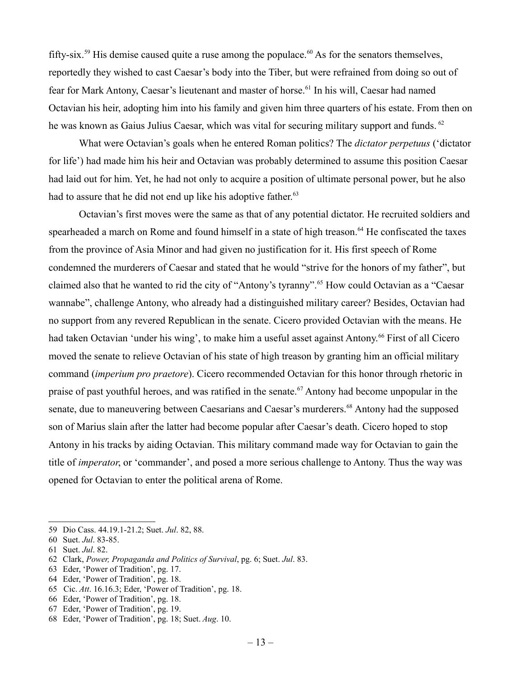fifty-six.<sup>[59](#page-12-0)</sup> His demise caused quite a ruse among the populace.<sup>[60](#page-12-1)</sup> As for the senators themselves, reportedly they wished to cast Caesar's body into the Tiber, but were refrained from doing so out of fear for Mark Antony, Caesar's lieutenant and master of horse.<sup>[61](#page-12-2)</sup> In his will, Caesar had named Octavian his heir, adopting him into his family and given him three quarters of his estate. From then on he was known as Gaius Julius Caesar, which was vital for securing military support and funds. <sup>[62](#page-12-3)</sup>

What were Octavian's goals when he entered Roman politics? The *dictator perpetuus* ('dictator for life') had made him his heir and Octavian was probably determined to assume this position Caesar had laid out for him. Yet, he had not only to acquire a position of ultimate personal power, but he also had to assure that he did not end up like his adoptive father.<sup>[63](#page-12-4)</sup>

Octavian's first moves were the same as that of any potential dictator. He recruited soldiers and spearheaded a march on Rome and found himself in a state of high treason.<sup>[64](#page-12-5)</sup> He confiscated the taxes from the province of Asia Minor and had given no justification for it. His first speech of Rome condemned the murderers of Caesar and stated that he would "strive for the honors of my father", but claimed also that he wanted to rid the city of "Antony's tyranny".<sup>[65](#page-12-6)</sup> How could Octavian as a "Caesar" wannabe", challenge Antony, who already had a distinguished military career? Besides, Octavian had no support from any revered Republican in the senate. Cicero provided Octavian with the means. He had taken Octavian 'under his wing', to make him a useful asset against Antony.<sup>[66](#page-12-7)</sup> First of all Cicero moved the senate to relieve Octavian of his state of high treason by granting him an official military command (*imperium pro praetore*). Cicero recommended Octavian for this honor through rhetoric in praise of past youthful heroes, and was ratified in the senate.<sup>[67](#page-12-8)</sup> Antony had become unpopular in the senate, due to maneuvering between Caesarians and Caesar's murderers.<sup>[68](#page-12-9)</sup> Antony had the supposed son of Marius slain after the latter had become popular after Caesar's death. Cicero hoped to stop Antony in his tracks by aiding Octavian. This military command made way for Octavian to gain the title of *imperator*, or 'commander', and posed a more serious challenge to Antony. Thus the way was opened for Octavian to enter the political arena of Rome.

<span id="page-12-0"></span><sup>59</sup> Dio Cass. 44.19.1-21.2; Suet. *Jul*. 82, 88.

<span id="page-12-1"></span><sup>60</sup> Suet. *Jul*. 83-85.

<span id="page-12-2"></span><sup>61</sup> Suet. *Jul*. 82.

<span id="page-12-3"></span><sup>62</sup> Clark, *Power, Propaganda and Politics of Survival*, pg. 6; Suet. *Jul*. 83.

<span id="page-12-4"></span><sup>63</sup> Eder, 'Power of Tradition', pg. 17.

<span id="page-12-5"></span><sup>64</sup> Eder, 'Power of Tradition', pg. 18.

<span id="page-12-6"></span><sup>65</sup> Cic. *Att*. 16.16.3; Eder, 'Power of Tradition', pg. 18.

<span id="page-12-7"></span><sup>66</sup> Eder, 'Power of Tradition', pg. 18.

<span id="page-12-8"></span><sup>67</sup> Eder, 'Power of Tradition', pg. 19.

<span id="page-12-9"></span><sup>68</sup> Eder, 'Power of Tradition', pg. 18; Suet. *Aug*. 10.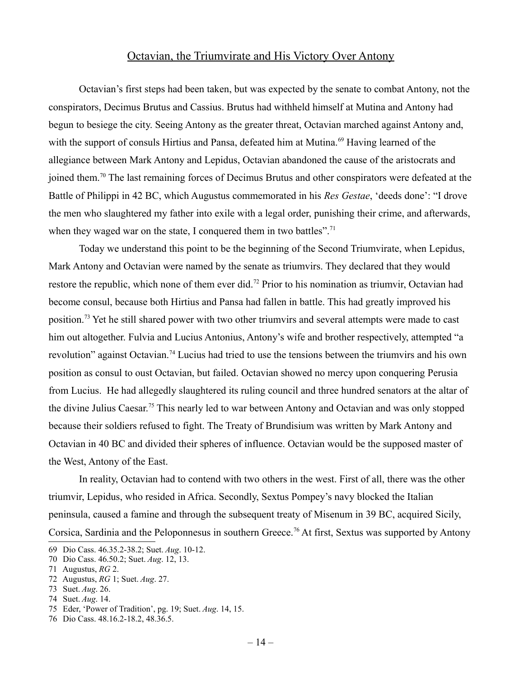#### Octavian, the Triumvirate and His Victory Over Antony

Octavian's first steps had been taken, but was expected by the senate to combat Antony, not the conspirators, Decimus Brutus and Cassius. Brutus had withheld himself at Mutina and Antony had begun to besiege the city. Seeing Antony as the greater threat, Octavian marched against Antony and, with the support of consuls Hirtius and Pansa, defeated him at Mutina.<sup>[69](#page-13-0)</sup> Having learned of the allegiance between Mark Antony and Lepidus, Octavian abandoned the cause of the aristocrats and joined them.[70](#page-13-1) The last remaining forces of Decimus Brutus and other conspirators were defeated at the Battle of Philippi in 42 BC, which Augustus commemorated in his *Res Gestae*, 'deeds done': "I drove the men who slaughtered my father into exile with a legal order, punishing their crime, and afterwards, when they waged war on the state, I conquered them in two battles".<sup>[71](#page-13-2)</sup>

Today we understand this point to be the beginning of the Second Triumvirate, when Lepidus, Mark Antony and Octavian were named by the senate as triumvirs. They declared that they would restore the republic, which none of them ever did.<sup>[72](#page-13-3)</sup> Prior to his nomination as triumvir, Octavian had become consul, because both Hirtius and Pansa had fallen in battle. This had greatly improved his position.[73](#page-13-4) Yet he still shared power with two other triumvirs and several attempts were made to cast him out altogether. Fulvia and Lucius Antonius, Antony's wife and brother respectively, attempted "a revolution" against Octavian.<sup>[74](#page-13-5)</sup> Lucius had tried to use the tensions between the triumvirs and his own position as consul to oust Octavian, but failed. Octavian showed no mercy upon conquering Perusia from Lucius. He had allegedly slaughtered its ruling council and three hundred senators at the altar of the divine Julius Caesar.[75](#page-13-6) This nearly led to war between Antony and Octavian and was only stopped because their soldiers refused to fight. The Treaty of Brundisium was written by Mark Antony and Octavian in 40 BC and divided their spheres of influence. Octavian would be the supposed master of the West, Antony of the East.

In reality, Octavian had to contend with two others in the west. First of all, there was the other triumvir, Lepidus, who resided in Africa. Secondly, Sextus Pompey's navy blocked the Italian peninsula, caused a famine and through the subsequent treaty of Misenum in 39 BC, acquired Sicily, Corsica, Sardinia and the Peloponnesus in southern Greece.<sup>[76](#page-13-7)</sup> At first, Sextus was supported by Antony

<span id="page-13-0"></span><sup>69</sup> Dio Cass. 46.35.2-38.2; Suet. *Aug*. 10-12.

<span id="page-13-1"></span><sup>70</sup> Dio Cass. 46.50.2; Suet. *Aug*. 12, 13.

<span id="page-13-2"></span><sup>71</sup> Augustus, *RG* 2.

<span id="page-13-3"></span><sup>72</sup> Augustus, *RG* 1; Suet. *Aug*. 27.

<span id="page-13-4"></span><sup>73</sup> Suet. *Aug*. 26.

<span id="page-13-5"></span><sup>74</sup> Suet. *Aug*. 14.

<span id="page-13-6"></span><sup>75</sup> Eder, 'Power of Tradition', pg. 19; Suet. *Aug*. 14, 15.

<span id="page-13-7"></span><sup>76</sup> Dio Cass. 48.16.2-18.2, 48.36.5.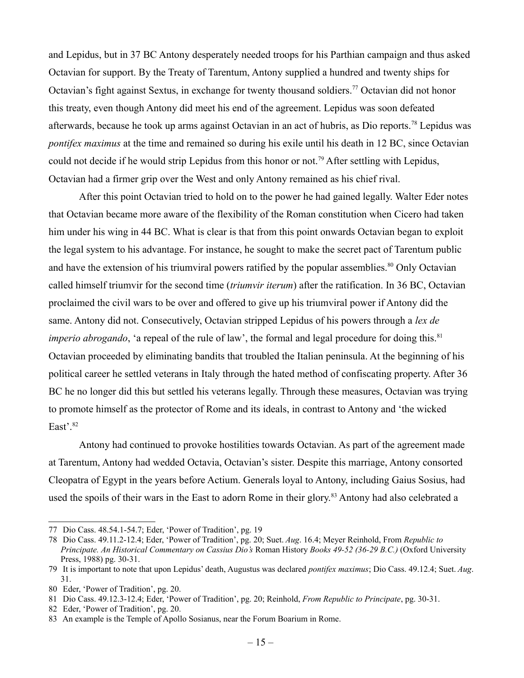and Lepidus, but in 37 BC Antony desperately needed troops for his Parthian campaign and thus asked Octavian for support. By the Treaty of Tarentum, Antony supplied a hundred and twenty ships for Octavian's fight against Sextus, in exchange for twenty thousand soldiers.<sup>[77](#page-14-0)</sup> Octavian did not honor this treaty, even though Antony did meet his end of the agreement. Lepidus was soon defeated afterwards, because he took up arms against Octavian in an act of hubris, as Dio reports.[78](#page-14-1) Lepidus was *pontifex maximus* at the time and remained so during his exile until his death in 12 BC, since Octavian could not decide if he would strip Lepidus from this honor or not.<sup>[79](#page-14-2)</sup> After settling with Lepidus, Octavian had a firmer grip over the West and only Antony remained as his chief rival.

After this point Octavian tried to hold on to the power he had gained legally. Walter Eder notes that Octavian became more aware of the flexibility of the Roman constitution when Cicero had taken him under his wing in 44 BC. What is clear is that from this point onwards Octavian began to exploit the legal system to his advantage. For instance, he sought to make the secret pact of Tarentum public and have the extension of his triumviral powers ratified by the popular assemblies.<sup>[80](#page-14-3)</sup> Only Octavian called himself triumvir for the second time (*triumvir iterum*) after the ratification. In 36 BC, Octavian proclaimed the civil wars to be over and offered to give up his triumviral power if Antony did the same. Antony did not. Consecutively, Octavian stripped Lepidus of his powers through a *lex de imperio abrogando*, 'a repeal of the rule of law', the formal and legal procedure for doing this.<sup>[81](#page-14-4)</sup> Octavian proceeded by eliminating bandits that troubled the Italian peninsula. At the beginning of his political career he settled veterans in Italy through the hated method of confiscating property. After 36 BC he no longer did this but settled his veterans legally. Through these measures, Octavian was trying to promote himself as the protector of Rome and its ideals, in contrast to Antony and 'the wicked East'.[82](#page-14-5)

Antony had continued to provoke hostilities towards Octavian. As part of the agreement made at Tarentum, Antony had wedded Octavia, Octavian's sister. Despite this marriage, Antony consorted Cleopatra of Egypt in the years before Actium. Generals loyal to Antony, including Gaius Sosius, had used the spoils of their wars in the East to adorn Rome in their glory.<sup>[83](#page-14-6)</sup> Antony had also celebrated a

<span id="page-14-0"></span><sup>77</sup> Dio Cass. 48.54.1-54.7; Eder, 'Power of Tradition', pg. 19

<span id="page-14-1"></span><sup>78</sup> Dio Cass. 49.11.2-12.4; Eder, 'Power of Tradition', pg. 20; Suet. *Aug*. 16.4; Meyer Reinhold, From *Republic to Principate. An Historical Commentary on Cassius Dio's* Roman History *Books 49-52 (36-29 B.C.)* (Oxford University Press, 1988) pg. 30-31.

<span id="page-14-2"></span><sup>79</sup> It is important to note that upon Lepidus' death, Augustus was declared *pontifex maximus*; Dio Cass. 49.12.4; Suet. *Aug*. 31.

<span id="page-14-3"></span><sup>80</sup> Eder, 'Power of Tradition', pg. 20.

<span id="page-14-4"></span><sup>81</sup> Dio Cass. 49.12.3-12.4; Eder, 'Power of Tradition', pg. 20; Reinhold, *From Republic to Principate*, pg. 30-31.

<span id="page-14-5"></span><sup>82</sup> Eder, 'Power of Tradition', pg. 20.

<span id="page-14-6"></span><sup>83</sup> An example is the Temple of Apollo Sosianus, near the Forum Boarium in Rome.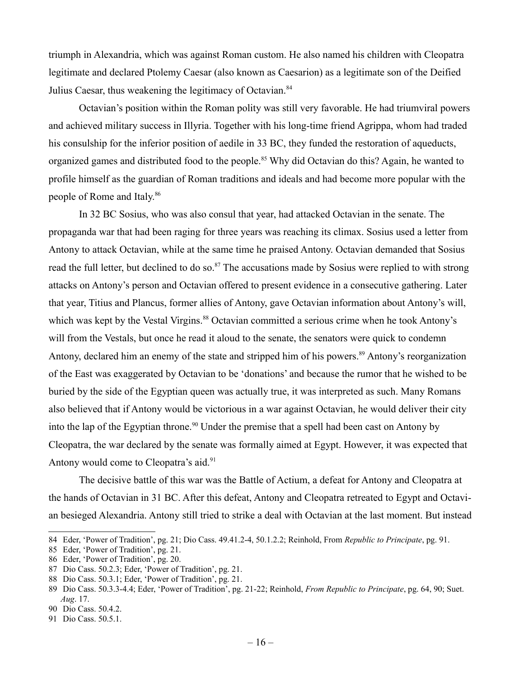triumph in Alexandria, which was against Roman custom. He also named his children with Cleopatra legitimate and declared Ptolemy Caesar (also known as Caesarion) as a legitimate son of the Deified Julius Caesar, thus weakening the legitimacy of Octavian.<sup>[84](#page-15-0)</sup>

Octavian's position within the Roman polity was still very favorable. He had triumviral powers and achieved military success in Illyria. Together with his long-time friend Agrippa, whom had traded his consulship for the inferior position of aedile in 33 BC, they funded the restoration of aqueducts, organized games and distributed food to the people.<sup>[85](#page-15-1)</sup> Why did Octavian do this? Again, he wanted to profile himself as the guardian of Roman traditions and ideals and had become more popular with the people of Rome and Italy.<sup>[86](#page-15-2)</sup>

In 32 BC Sosius, who was also consul that year, had attacked Octavian in the senate. The propaganda war that had been raging for three years was reaching its climax. Sosius used a letter from Antony to attack Octavian, while at the same time he praised Antony. Octavian demanded that Sosius read the full letter, but declined to do so.<sup>[87](#page-15-3)</sup> The accusations made by Sosius were replied to with strong attacks on Antony's person and Octavian offered to present evidence in a consecutive gathering. Later that year, Titius and Plancus, former allies of Antony, gave Octavian information about Antony's will, which was kept by the Vestal Virgins.<sup>[88](#page-15-4)</sup> Octavian committed a serious crime when he took Antony's will from the Vestals, but once he read it aloud to the senate, the senators were quick to condemn Antony, declared him an enemy of the state and stripped him of his powers.<sup>[89](#page-15-5)</sup> Antony's reorganization of the East was exaggerated by Octavian to be 'donations' and because the rumor that he wished to be buried by the side of the Egyptian queen was actually true, it was interpreted as such. Many Romans also believed that if Antony would be victorious in a war against Octavian, he would deliver their city into the lap of the Egyptian throne.<sup>[90](#page-15-6)</sup> Under the premise that a spell had been cast on Antony by Cleopatra, the war declared by the senate was formally aimed at Egypt. However, it was expected that Antony would come to Cleopatra's aid.<sup>[91](#page-15-7)</sup>

The decisive battle of this war was the Battle of Actium, a defeat for Antony and Cleopatra at the hands of Octavian in 31 BC. After this defeat, Antony and Cleopatra retreated to Egypt and Octavian besieged Alexandria. Antony still tried to strike a deal with Octavian at the last moment. But instead

<span id="page-15-0"></span><sup>84</sup> Eder, 'Power of Tradition', pg. 21; Dio Cass. 49.41.2-4, 50.1.2.2; Reinhold, From *Republic to Principate*, pg. 91.

<span id="page-15-1"></span><sup>85</sup> Eder, 'Power of Tradition', pg. 21.

<span id="page-15-2"></span><sup>86</sup> Eder, 'Power of Tradition', pg. 20.

<span id="page-15-3"></span><sup>87</sup> Dio Cass. 50.2.3; Eder, 'Power of Tradition', pg. 21.

<span id="page-15-4"></span><sup>88</sup> Dio Cass. 50.3.1; Eder, 'Power of Tradition', pg. 21.

<span id="page-15-5"></span><sup>89</sup> Dio Cass. 50.3.3-4.4; Eder, 'Power of Tradition', pg. 21-22; Reinhold, *From Republic to Principate*, pg. 64, 90; Suet. *Aug*. 17.

<span id="page-15-6"></span><sup>90</sup> Dio Cass. 50.4.2.

<span id="page-15-7"></span><sup>91</sup> Dio Cass. 50.5.1.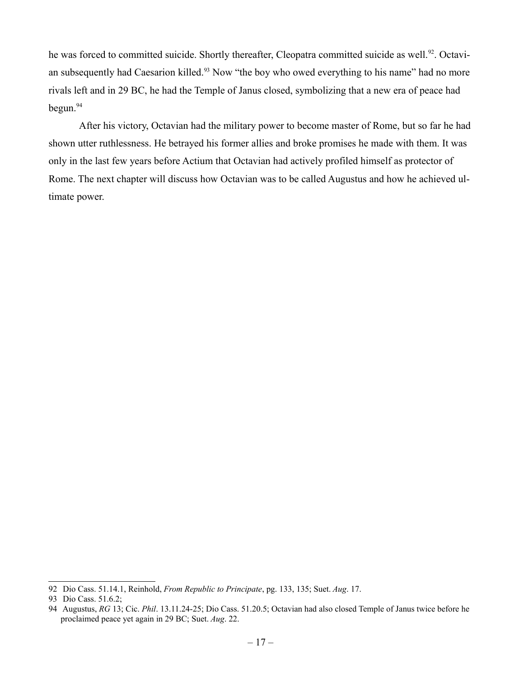he was forced to committed suicide. Shortly thereafter, Cleopatra committed suicide as well.<sup>[92](#page-16-0)</sup>. Octavi-an subsequently had Caesarion killed.<sup>[93](#page-16-1)</sup> Now "the boy who owed everything to his name" had no more rivals left and in 29 BC, he had the Temple of Janus closed, symbolizing that a new era of peace had  $begun.<sup>94</sup>$  $begun.<sup>94</sup>$  $begun.<sup>94</sup>$ 

After his victory, Octavian had the military power to become master of Rome, but so far he had shown utter ruthlessness. He betrayed his former allies and broke promises he made with them. It was only in the last few years before Actium that Octavian had actively profiled himself as protector of Rome. The next chapter will discuss how Octavian was to be called Augustus and how he achieved ultimate power.

<span id="page-16-0"></span><sup>92</sup> Dio Cass. 51.14.1, Reinhold, *From Republic to Principate*, pg. 133, 135; Suet. *Aug*. 17.

<span id="page-16-1"></span><sup>93</sup> Dio Cass. 51.6.2;

<span id="page-16-2"></span><sup>94</sup> Augustus, *RG* 13; Cic. *Phil*. 13.11.24-25; Dio Cass. 51.20.5; Octavian had also closed Temple of Janus twice before he proclaimed peace yet again in 29 BC; Suet. *Aug*. 22.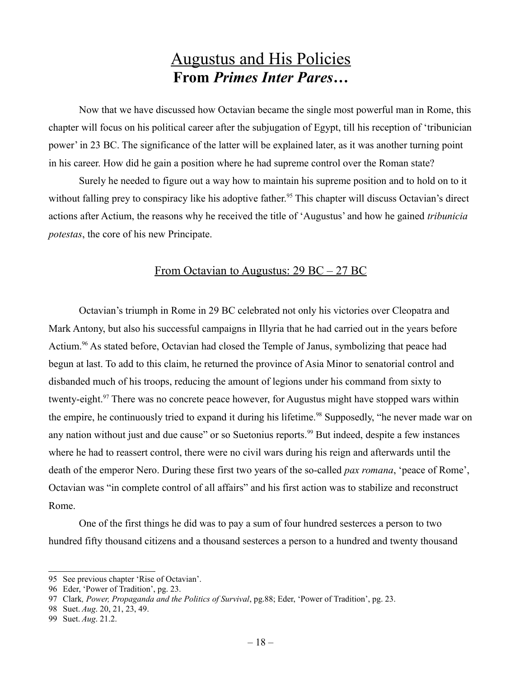### Augustus and His Policies **From** *Primes Inter Pares***…**

Now that we have discussed how Octavian became the single most powerful man in Rome, this chapter will focus on his political career after the subjugation of Egypt, till his reception of 'tribunician power' in 23 BC. The significance of the latter will be explained later, as it was another turning point in his career. How did he gain a position where he had supreme control over the Roman state?

Surely he needed to figure out a way how to maintain his supreme position and to hold on to it without falling prey to conspiracy like his adoptive father.<sup>[95](#page-17-0)</sup> This chapter will discuss Octavian's direct actions after Actium, the reasons why he received the title of 'Augustus' and how he gained *tribunicia potestas*, the core of his new Principate.

#### From Octavian to Augustus: 29 BC – 27 BC

Octavian's triumph in Rome in 29 BC celebrated not only his victories over Cleopatra and Mark Antony, but also his successful campaigns in Illyria that he had carried out in the years before Actium.<sup>[96](#page-17-1)</sup> As stated before, Octavian had closed the Temple of Janus, symbolizing that peace had begun at last. To add to this claim, he returned the province of Asia Minor to senatorial control and disbanded much of his troops, reducing the amount of legions under his command from sixty to twenty-eight.<sup>[97](#page-17-2)</sup> There was no concrete peace however, for Augustus might have stopped wars within the empire, he continuously tried to expand it during his lifetime.<sup>[98](#page-17-3)</sup> Supposedly, "he never made war on any nation without just and due cause" or so Suetonius reports.<sup>[99](#page-17-4)</sup> But indeed, despite a few instances where he had to reassert control, there were no civil wars during his reign and afterwards until the death of the emperor Nero. During these first two years of the so-called *pax romana*, 'peace of Rome', Octavian was "in complete control of all affairs" and his first action was to stabilize and reconstruct Rome.

One of the first things he did was to pay a sum of four hundred sesterces a person to two hundred fifty thousand citizens and a thousand sesterces a person to a hundred and twenty thousand

<span id="page-17-0"></span><sup>95</sup> See previous chapter 'Rise of Octavian'.

<span id="page-17-1"></span><sup>96</sup> Eder, 'Power of Tradition', pg. 23.

<span id="page-17-2"></span><sup>97</sup> Clark*, Power, Propaganda and the Politics of Survival*, pg.88; Eder, 'Power of Tradition', pg. 23.

<span id="page-17-3"></span><sup>98</sup> Suet. *Aug*. 20, 21, 23, 49.

<span id="page-17-4"></span><sup>99</sup> Suet. *Aug*. 21.2.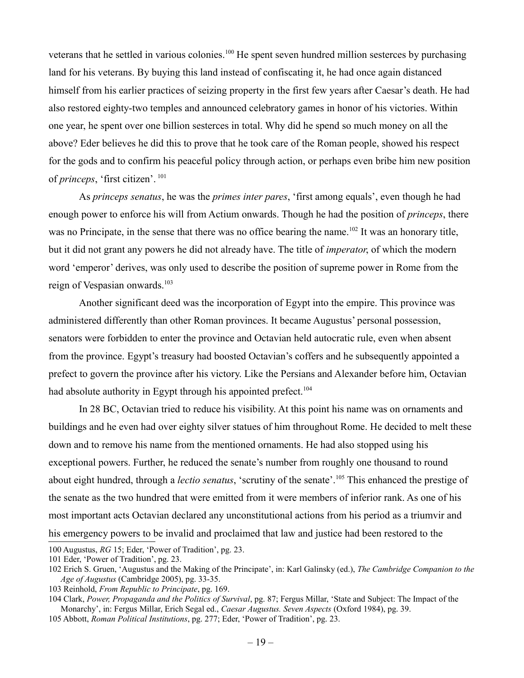veterans that he settled in various colonies.<sup>[100](#page-18-0)</sup> He spent seven hundred million sesterces by purchasing land for his veterans. By buying this land instead of confiscating it, he had once again distanced himself from his earlier practices of seizing property in the first few years after Caesar's death. He had also restored eighty-two temples and announced celebratory games in honor of his victories. Within one year, he spent over one billion sesterces in total. Why did he spend so much money on all the above? Eder believes he did this to prove that he took care of the Roman people, showed his respect for the gods and to confirm his peaceful policy through action, or perhaps even bribe him new position of *princeps*, 'first citizen'. [101](#page-18-1)

As *princeps senatus*, he was the *primes inter pares*, 'first among equals', even though he had enough power to enforce his will from Actium onwards. Though he had the position of *princeps*, there was no Principate, in the sense that there was no office bearing the name.<sup>[102](#page-18-2)</sup> It was an honorary title, but it did not grant any powers he did not already have. The title of *imperator*, of which the modern word 'emperor' derives, was only used to describe the position of supreme power in Rome from the reign of Vespasian onwards.<sup>[103](#page-18-3)</sup>

Another significant deed was the incorporation of Egypt into the empire. This province was administered differently than other Roman provinces. It became Augustus' personal possession, senators were forbidden to enter the province and Octavian held autocratic rule, even when absent from the province. Egypt's treasury had boosted Octavian's coffers and he subsequently appointed a prefect to govern the province after his victory. Like the Persians and Alexander before him, Octavian had absolute authority in Egypt through his appointed prefect.<sup>[104](#page-18-4)</sup>

In 28 BC, Octavian tried to reduce his visibility. At this point his name was on ornaments and buildings and he even had over eighty silver statues of him throughout Rome. He decided to melt these down and to remove his name from the mentioned ornaments. He had also stopped using his exceptional powers. Further, he reduced the senate's number from roughly one thousand to round about eight hundred, through a *lectio senatus*, 'scrutiny of the senate'.<sup>[105](#page-18-5)</sup> This enhanced the prestige of the senate as the two hundred that were emitted from it were members of inferior rank. As one of his most important acts Octavian declared any unconstitutional actions from his period as a triumvir and his emergency powers to be invalid and proclaimed that law and justice had been restored to the

<span id="page-18-0"></span><sup>100</sup> Augustus, *RG* 15; Eder, 'Power of Tradition', pg. 23.

<span id="page-18-1"></span><sup>101</sup> Eder, 'Power of Tradition', pg. 23.

<span id="page-18-2"></span><sup>102</sup> Erich S. Gruen, 'Augustus and the Making of the Principate', in: Karl Galinsky (ed.), *The Cambridge Companion to the Age of Augustus* (Cambridge 2005), pg. 33-35.

<span id="page-18-3"></span><sup>103</sup> Reinhold, *From Republic to Principate*, pg. 169.

<span id="page-18-4"></span><sup>104</sup> Clark, *Power, Propaganda and the Politics of Survival*, pg. 87; Fergus Millar, 'State and Subject: The Impact of the Monarchy', in: Fergus Millar, Erich Segal ed., *Caesar Augustus. Seven Aspects* (Oxford 1984), pg. 39.

<span id="page-18-5"></span><sup>105</sup> Abbott, *Roman Political Institutions*, pg. 277; Eder, 'Power of Tradition', pg. 23.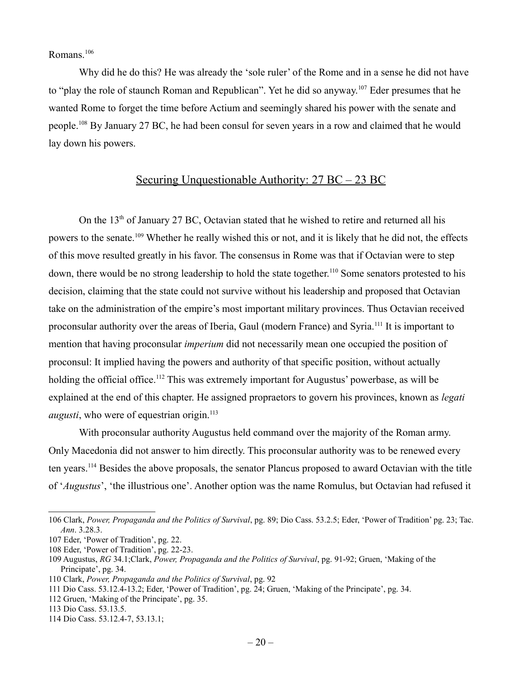Romans.<sup>[106](#page-19-0)</sup>

Why did he do this? He was already the 'sole ruler' of the Rome and in a sense he did not have to "play the role of staunch Roman and Republican". Yet he did so anyway.<sup>[107](#page-19-1)</sup> Eder presumes that he wanted Rome to forget the time before Actium and seemingly shared his power with the senate and people.[108](#page-19-2) By January 27 BC, he had been consul for seven years in a row and claimed that he would lay down his powers.

#### Securing Unquestionable Authority: 27 BC – 23 BC

On the  $13<sup>th</sup>$  of January 27 BC, Octavian stated that he wished to retire and returned all his powers to the senate.[109](#page-19-3) Whether he really wished this or not, and it is likely that he did not, the effects of this move resulted greatly in his favor. The consensus in Rome was that if Octavian were to step down, there would be no strong leadership to hold the state together.<sup>[110](#page-19-4)</sup> Some senators protested to his decision, claiming that the state could not survive without his leadership and proposed that Octavian take on the administration of the empire's most important military provinces. Thus Octavian received proconsular authority over the areas of Iberia, Gaul (modern France) and Syria.[111](#page-19-5) It is important to mention that having proconsular *imperium* did not necessarily mean one occupied the position of proconsul: It implied having the powers and authority of that specific position, without actually holding the official office.<sup>[112](#page-19-6)</sup> This was extremely important for Augustus' powerbase, as will be explained at the end of this chapter. He assigned propraetors to govern his provinces, known as *legati augusti*, who were of equestrian origin.<sup>[113](#page-19-7)</sup>

With proconsular authority Augustus held command over the majority of the Roman army. Only Macedonia did not answer to him directly. This proconsular authority was to be renewed every ten years.[114](#page-19-8) Besides the above proposals, the senator Plancus proposed to award Octavian with the title of '*Augustus*', 'the illustrious one'. Another option was the name Romulus, but Octavian had refused it

<span id="page-19-0"></span><sup>106</sup> Clark, *Power, Propaganda and the Politics of Survival*, pg. 89; Dio Cass. 53.2.5; Eder, 'Power of Tradition' pg. 23; Tac. *Ann*. 3.28.3.

<span id="page-19-1"></span><sup>107</sup> Eder, 'Power of Tradition', pg. 22.

<span id="page-19-2"></span><sup>108</sup> Eder, 'Power of Tradition', pg. 22-23.

<span id="page-19-3"></span><sup>109</sup> Augustus, *RG* 34.1;Clark, *Power, Propaganda and the Politics of Survival*, pg. 91-92; Gruen, 'Making of the Principate', pg. 34.

<span id="page-19-4"></span><sup>110</sup> Clark, *Power, Propaganda and the Politics of Survival*, pg. 92

<span id="page-19-5"></span><sup>111</sup> Dio Cass. 53.12.4-13.2; Eder, 'Power of Tradition', pg. 24; Gruen, 'Making of the Principate', pg. 34.

<span id="page-19-6"></span><sup>112</sup> Gruen, 'Making of the Principate', pg. 35.

<span id="page-19-7"></span><sup>113</sup> Dio Cass. 53.13.5.

<span id="page-19-8"></span><sup>114</sup> Dio Cass. 53.12.4-7, 53.13.1;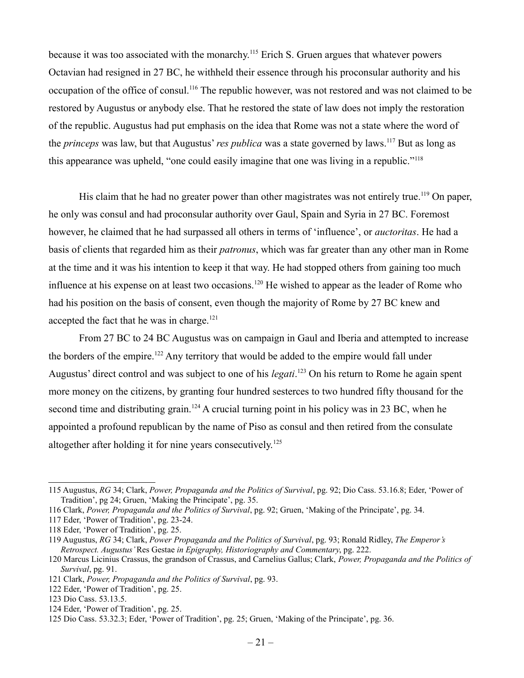because it was too associated with the monarchy.<sup>[115](#page-20-0)</sup> Erich S. Gruen argues that whatever powers Octavian had resigned in 27 BC, he withheld their essence through his proconsular authority and his occupation of the office of consul.[116](#page-20-1) The republic however, was not restored and was not claimed to be restored by Augustus or anybody else. That he restored the state of law does not imply the restoration of the republic. Augustus had put emphasis on the idea that Rome was not a state where the word of the *princeps* was law, but that Augustus' *res publica* was a state governed by laws.[117](#page-20-2) But as long as this appearance was upheld, "one could easily imagine that one was living in a republic."[118](#page-20-3)

His claim that he had no greater power than other magistrates was not entirely true.<sup>[119](#page-20-4)</sup> On paper, he only was consul and had proconsular authority over Gaul, Spain and Syria in 27 BC. Foremost however, he claimed that he had surpassed all others in terms of 'influence', or *auctoritas*. He had a basis of clients that regarded him as their *patronus*, which was far greater than any other man in Rome at the time and it was his intention to keep it that way. He had stopped others from gaining too much influence at his expense on at least two occasions.<sup>[120](#page-20-5)</sup> He wished to appear as the leader of Rome who had his position on the basis of consent, even though the majority of Rome by 27 BC knew and accepted the fact that he was in charge.<sup>[121](#page-20-6)</sup>

From 27 BC to 24 BC Augustus was on campaign in Gaul and Iberia and attempted to increase the borders of the empire.<sup>[122](#page-20-7)</sup> Any territory that would be added to the empire would fall under Augustus' direct control and was subject to one of his *legati*. [123](#page-20-8) On his return to Rome he again spent more money on the citizens, by granting four hundred sesterces to two hundred fifty thousand for the second time and distributing grain.<sup>[124](#page-20-9)</sup> A crucial turning point in his policy was in 23 BC, when he appointed a profound republican by the name of Piso as consul and then retired from the consulate altogether after holding it for nine years consecutively.<sup>[125](#page-20-10)</sup>

<span id="page-20-0"></span><sup>115</sup> Augustus, *RG* 34; Clark, *Power, Propaganda and the Politics of Survival*, pg. 92; Dio Cass. 53.16.8; Eder, 'Power of Tradition', pg 24; Gruen, 'Making the Principate', pg. 35.

<span id="page-20-1"></span><sup>116</sup> Clark, *Power, Propaganda and the Politics of Survival*, pg. 92; Gruen, 'Making of the Principate', pg. 34.

<span id="page-20-2"></span><sup>117</sup> Eder, 'Power of Tradition', pg. 23-24.

<span id="page-20-3"></span><sup>118</sup> Eder, 'Power of Tradition', pg. 25.

<span id="page-20-4"></span><sup>119</sup> Augustus, *RG* 34; Clark, *Power Propaganda and the Politics of Survival*, pg. 93; Ronald Ridley, *The Emperor's Retrospect. Augustus'* Res Gestae *in Epigraphy, Historiography and Commentary*, pg. 222.

<span id="page-20-5"></span><sup>120</sup> Marcus Licinius Crassus, the grandson of Crassus, and Carnelius Gallus; Clark, *Power, Propaganda and the Politics of Survival*, pg. 91.

<span id="page-20-6"></span><sup>121</sup> Clark, *Power, Propaganda and the Politics of Survival*, pg. 93.

<span id="page-20-7"></span><sup>122</sup> Eder, 'Power of Tradition', pg. 25.

<span id="page-20-8"></span><sup>123</sup> Dio Cass. 53.13.5.

<span id="page-20-9"></span><sup>124</sup> Eder, 'Power of Tradition', pg. 25.

<span id="page-20-10"></span><sup>125</sup> Dio Cass. 53.32.3; Eder, 'Power of Tradition', pg. 25; Gruen, 'Making of the Principate', pg. 36.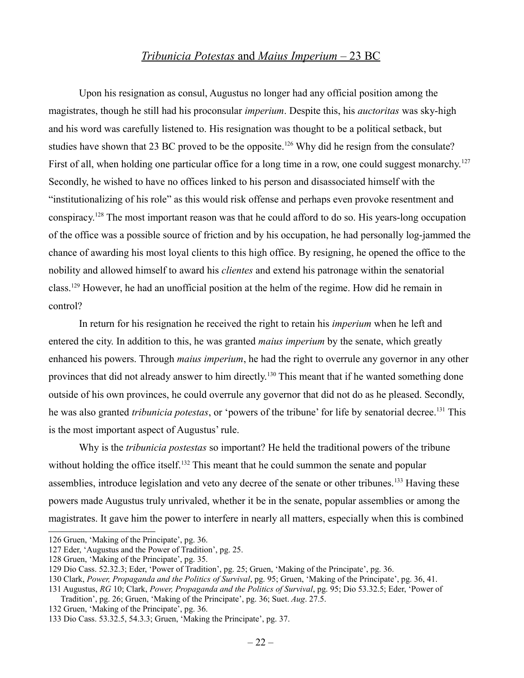#### *Tribunicia Potestas* and *Maius Imperium* – 23 BC

Upon his resignation as consul, Augustus no longer had any official position among the magistrates, though he still had his proconsular *imperium*. Despite this, his *auctoritas* was sky-high and his word was carefully listened to. His resignation was thought to be a political setback, but studies have shown that 23 BC proved to be the opposite.<sup>[126](#page-21-0)</sup> Why did he resign from the consulate? First of all, when holding one particular office for a long time in a row, one could suggest monarchy.<sup>[127](#page-21-1)</sup> Secondly, he wished to have no offices linked to his person and disassociated himself with the "institutionalizing of his role" as this would risk offense and perhaps even provoke resentment and conspiracy.[128](#page-21-2) The most important reason was that he could afford to do so. His years-long occupation of the office was a possible source of friction and by his occupation, he had personally log-jammed the chance of awarding his most loyal clients to this high office. By resigning, he opened the office to the nobility and allowed himself to award his *clientes* and extend his patronage within the senatorial class.[129](#page-21-3) However, he had an unofficial position at the helm of the regime. How did he remain in control?

In return for his resignation he received the right to retain his *imperium* when he left and entered the city. In addition to this, he was granted *maius imperium* by the senate, which greatly enhanced his powers. Through *maius imperium*, he had the right to overrule any governor in any other provinces that did not already answer to him directly.<sup>[130](#page-21-4)</sup> This meant that if he wanted something done outside of his own provinces, he could overrule any governor that did not do as he pleased. Secondly, he was also granted *tribunicia potestas*, or 'powers of the tribune' for life by senatorial decree.<sup>[131](#page-21-5)</sup> This is the most important aspect of Augustus' rule.

Why is the *tribunicia postestas* so important? He held the traditional powers of the tribune without holding the office itself.<sup>[132](#page-21-6)</sup> This meant that he could summon the senate and popular assemblies, introduce legislation and veto any decree of the senate or other tribunes.<sup>[133](#page-21-7)</sup> Having these powers made Augustus truly unrivaled, whether it be in the senate, popular assemblies or among the magistrates. It gave him the power to interfere in nearly all matters, especially when this is combined

<span id="page-21-0"></span><sup>126</sup> Gruen, 'Making of the Principate', pg. 36.

<span id="page-21-1"></span><sup>127</sup> Eder, 'Augustus and the Power of Tradition', pg. 25.

<span id="page-21-2"></span><sup>128</sup> Gruen, 'Making of the Principate', pg. 35.

<span id="page-21-3"></span><sup>129</sup> Dio Cass. 52.32.3; Eder, 'Power of Tradition', pg. 25; Gruen, 'Making of the Principate', pg. 36.

<span id="page-21-4"></span><sup>130</sup> Clark, *Power, Propaganda and the Politics of Survival*, pg. 95; Gruen, 'Making of the Principate', pg. 36, 41.

<span id="page-21-5"></span><sup>131</sup> Augustus, *RG* 10; Clark, *Power, Propaganda and the Politics of Survival*, pg. 95; Dio 53.32.5; Eder, 'Power of Tradition', pg. 26; Gruen, 'Making of the Principate', pg. 36; Suet. *Aug*. 27.5.

<span id="page-21-6"></span><sup>132</sup> Gruen, 'Making of the Principate', pg. 36.

<span id="page-21-7"></span><sup>133</sup> Dio Cass. 53.32.5, 54.3.3; Gruen, 'Making the Principate', pg. 37.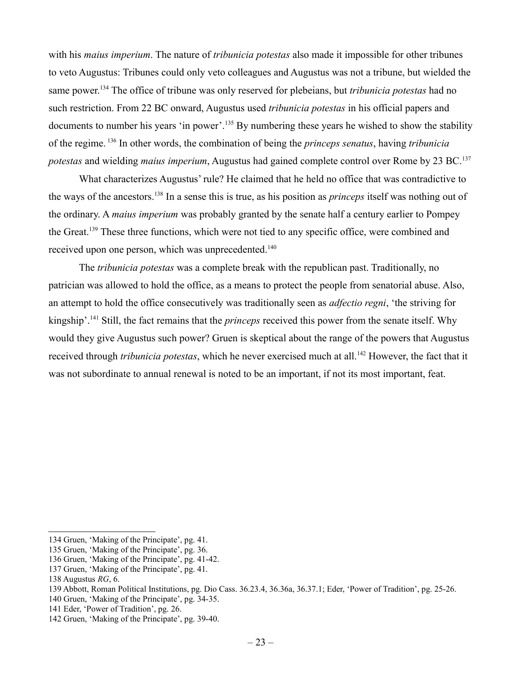with his *maius imperium*. The nature of *tribunicia potestas* also made it impossible for other tribunes to veto Augustus: Tribunes could only veto colleagues and Augustus was not a tribune, but wielded the same power.[134](#page-22-0) The office of tribune was only reserved for plebeians, but *tribunicia potestas* had no such restriction. From 22 BC onward, Augustus used *tribunicia potestas* in his official papers and documents to number his years 'in power'.<sup>[135](#page-22-1)</sup> By numbering these years he wished to show the stability of the regime. [136](#page-22-2) In other words, the combination of being the *princeps senatus*, having *tribunicia potestas* and wielding *maius imperium*, Augustus had gained complete control over Rome by 23 BC.[137](#page-22-3)

What characterizes Augustus' rule? He claimed that he held no office that was contradictive to the ways of the ancestors.[138](#page-22-4) In a sense this is true, as his position as *princeps* itself was nothing out of the ordinary. A *maius imperium* was probably granted by the senate half a century earlier to Pompey the Great.<sup>[139](#page-22-5)</sup> These three functions, which were not tied to any specific office, were combined and received upon one person, which was unprecedented.<sup>[140](#page-22-6)</sup>

The *tribunicia potestas* was a complete break with the republican past. Traditionally, no patrician was allowed to hold the office, as a means to protect the people from senatorial abuse. Also, an attempt to hold the office consecutively was traditionally seen as *adfectio regni*, 'the striving for kingship'.[141](#page-22-7) Still, the fact remains that the *princeps* received this power from the senate itself. Why would they give Augustus such power? Gruen is skeptical about the range of the powers that Augustus received through *tribunicia potestas*, which he never exercised much at all.<sup>[142](#page-22-8)</sup> However, the fact that it was not subordinate to annual renewal is noted to be an important, if not its most important, feat.

<span id="page-22-7"></span>141 Eder, 'Power of Tradition', pg. 26.

<span id="page-22-0"></span><sup>134</sup> Gruen, 'Making of the Principate', pg. 41.

<span id="page-22-1"></span><sup>135</sup> Gruen, 'Making of the Principate', pg. 36.

<span id="page-22-2"></span><sup>136</sup> Gruen, 'Making of the Principate', pg. 41-42.

<span id="page-22-3"></span><sup>137</sup> Gruen, 'Making of the Principate', pg. 41.

<span id="page-22-4"></span><sup>138</sup> Augustus *RG*, 6.

<span id="page-22-5"></span><sup>139</sup> Abbott, Roman Political Institutions, pg. Dio Cass. 36.23.4, 36.36a, 36.37.1; Eder, 'Power of Tradition', pg. 25-26.

<span id="page-22-6"></span><sup>140</sup> Gruen, 'Making of the Principate', pg. 34-35.

<span id="page-22-8"></span><sup>142</sup> Gruen, 'Making of the Principate', pg. 39-40.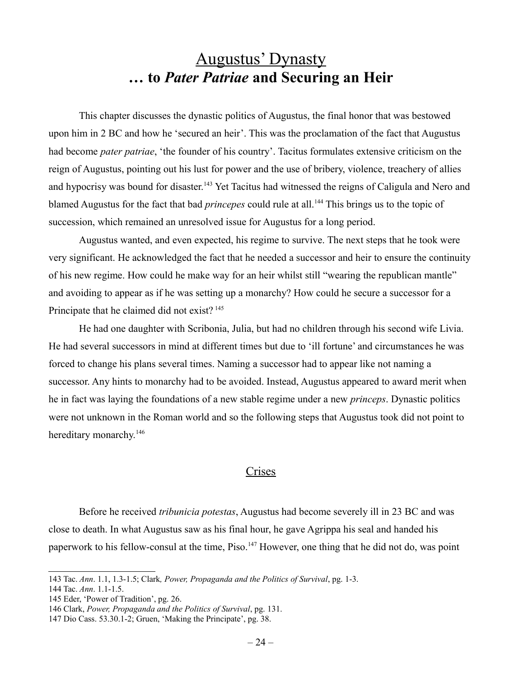### Augustus' Dynasty **… to** *Pater Patriae* **and Securing an Heir**

This chapter discusses the dynastic politics of Augustus, the final honor that was bestowed upon him in 2 BC and how he 'secured an heir'. This was the proclamation of the fact that Augustus had become *pater patriae*, 'the founder of his country'. Tacitus formulates extensive criticism on the reign of Augustus, pointing out his lust for power and the use of bribery, violence, treachery of allies and hypocrisy was bound for disaster.<sup>[143](#page-23-0)</sup> Yet Tacitus had witnessed the reigns of Caligula and Nero and blamed Augustus for the fact that bad *princepes* could rule at all.<sup>[144](#page-23-1)</sup> This brings us to the topic of succession, which remained an unresolved issue for Augustus for a long period.

Augustus wanted, and even expected, his regime to survive. The next steps that he took were very significant. He acknowledged the fact that he needed a successor and heir to ensure the continuity of his new regime. How could he make way for an heir whilst still "wearing the republican mantle" and avoiding to appear as if he was setting up a monarchy? How could he secure a successor for a Principate that he claimed did not exist?<sup>[145](#page-23-2)</sup>

He had one daughter with Scribonia, Julia, but had no children through his second wife Livia. He had several successors in mind at different times but due to 'ill fortune' and circumstances he was forced to change his plans several times. Naming a successor had to appear like not naming a successor. Any hints to monarchy had to be avoided. Instead, Augustus appeared to award merit when he in fact was laying the foundations of a new stable regime under a new *princeps*. Dynastic politics were not unknown in the Roman world and so the following steps that Augustus took did not point to hereditary monarchy.<sup>[146](#page-23-3)</sup>

#### **Crises**

Before he received *tribunicia potestas*, Augustus had become severely ill in 23 BC and was close to death. In what Augustus saw as his final hour, he gave Agrippa his seal and handed his paperwork to his fellow-consul at the time, Piso.<sup>[147](#page-23-4)</sup> However, one thing that he did not do, was point

<span id="page-23-0"></span><sup>143</sup> Tac. *Ann*. 1.1, 1.3-1.5; Clark*, Power, Propaganda and the Politics of Survival*, pg. 1-3.

<span id="page-23-1"></span><sup>144</sup> Tac. *Ann*. 1.1-1.5.

<span id="page-23-2"></span><sup>145</sup> Eder, 'Power of Tradition', pg. 26.

<span id="page-23-3"></span><sup>146</sup> Clark, *Power, Propaganda and the Politics of Survival*, pg. 131.

<span id="page-23-4"></span><sup>147</sup> Dio Cass. 53.30.1-2; Gruen, 'Making the Principate', pg. 38.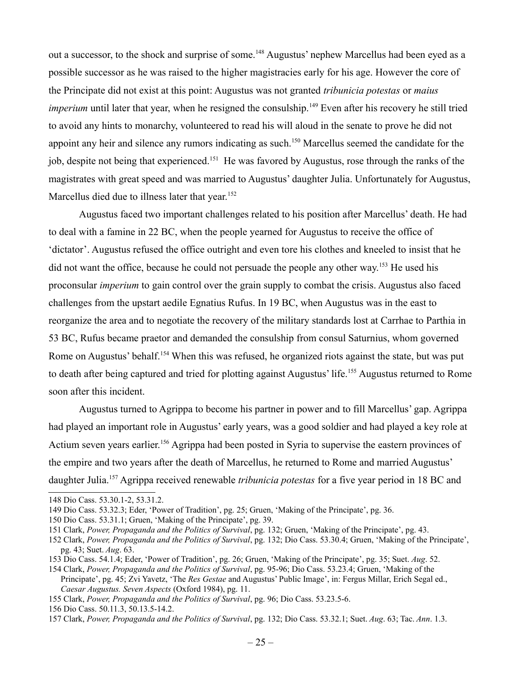out a successor, to the shock and surprise of some.<sup>[148](#page-24-0)</sup> Augustus' nephew Marcellus had been eyed as a possible successor as he was raised to the higher magistracies early for his age. However the core of the Principate did not exist at this point: Augustus was not granted *tribunicia potestas* or *maius imperium* until later that year, when he resigned the consulship.<sup>[149](#page-24-1)</sup> Even after his recovery he still tried to avoid any hints to monarchy, volunteered to read his will aloud in the senate to prove he did not appoint any heir and silence any rumors indicating as such.[150](#page-24-2) Marcellus seemed the candidate for the job, despite not being that experienced.[151](#page-24-3) He was favored by Augustus, rose through the ranks of the magistrates with great speed and was married to Augustus' daughter Julia. Unfortunately for Augustus, Marcellus died due to illness later that year.<sup>[152](#page-24-4)</sup>

Augustus faced two important challenges related to his position after Marcellus' death. He had to deal with a famine in 22 BC, when the people yearned for Augustus to receive the office of 'dictator'. Augustus refused the office outright and even tore his clothes and kneeled to insist that he did not want the office, because he could not persuade the people any other way.<sup>[153](#page-24-5)</sup> He used his proconsular *imperium* to gain control over the grain supply to combat the crisis. Augustus also faced challenges from the upstart aedile Egnatius Rufus. In 19 BC, when Augustus was in the east to reorganize the area and to negotiate the recovery of the military standards lost at Carrhae to Parthia in 53 BC, Rufus became praetor and demanded the consulship from consul Saturnius, whom governed Rome on Augustus' behalf.<sup>[154](#page-24-6)</sup> When this was refused, he organized riots against the state, but was put to death after being captured and tried for plotting against Augustus' life.<sup>[155](#page-24-7)</sup> Augustus returned to Rome soon after this incident.

Augustus turned to Agrippa to become his partner in power and to fill Marcellus' gap. Agrippa had played an important role in Augustus' early years, was a good soldier and had played a key role at Actium seven years earlier.<sup>[156](#page-24-8)</sup> Agrippa had been posted in Syria to supervise the eastern provinces of the empire and two years after the death of Marcellus, he returned to Rome and married Augustus' daughter Julia.[157](#page-24-9) Agrippa received renewable *tribunicia potestas* for a five year period in 18 BC and

<span id="page-24-0"></span><sup>148</sup> Dio Cass. 53.30.1-2, 53.31.2.

<span id="page-24-1"></span><sup>149</sup> Dio Cass. 53.32.3; Eder, 'Power of Tradition', pg. 25; Gruen, 'Making of the Principate', pg. 36.

<span id="page-24-2"></span><sup>150</sup> Dio Cass. 53.31.1; Gruen, 'Making of the Principate', pg. 39.

<span id="page-24-3"></span><sup>151</sup> Clark, *Power, Propaganda and the Politics of Survival*, pg. 132; Gruen, 'Making of the Principate', pg. 43.

<span id="page-24-4"></span><sup>152</sup> Clark, *Power, Propaganda and the Politics of Survival*, pg. 132; Dio Cass. 53.30.4; Gruen, 'Making of the Principate', pg. 43; Suet. *Aug*. 63.

<span id="page-24-5"></span><sup>153</sup> Dio Cass. 54.1.4; Eder, 'Power of Tradition', pg. 26; Gruen, 'Making of the Principate', pg. 35; Suet. *Aug*. 52.

<span id="page-24-6"></span><sup>154</sup> Clark, *Power, Propaganda and the Politics of Survival*, pg. 95-96; Dio Cass. 53.23.4; Gruen, 'Making of the Principate', pg. 45; Zvi Yavetz, 'The *Res Gestae* and Augustus' Public Image', in: Fergus Millar, Erich Segal ed., *Caesar Augustus. Seven Aspects* (Oxford 1984), pg. 11.

<span id="page-24-7"></span><sup>155</sup> Clark, *Power, Propaganda and the Politics of Survival*, pg. 96; Dio Cass. 53.23.5-6.

<span id="page-24-8"></span><sup>156</sup> Dio Cass. 50.11.3, 50.13.5-14.2.

<span id="page-24-9"></span><sup>157</sup> Clark, *Power, Propaganda and the Politics of Survival*, pg. 132; Dio Cass. 53.32.1; Suet. *Aug*. 63; Tac. *Ann*. 1.3.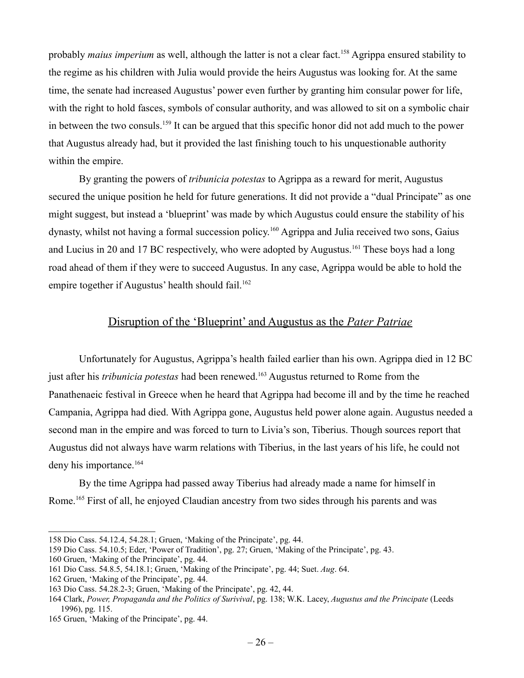probably *maius imperium* as well, although the latter is not a clear fact.<sup>[158](#page-25-0)</sup> Agrippa ensured stability to the regime as his children with Julia would provide the heirs Augustus was looking for. At the same time, the senate had increased Augustus' power even further by granting him consular power for life, with the right to hold fasces, symbols of consular authority, and was allowed to sit on a symbolic chair in between the two consuls.[159](#page-25-1) It can be argued that this specific honor did not add much to the power that Augustus already had, but it provided the last finishing touch to his unquestionable authority within the empire.

By granting the powers of *tribunicia potestas* to Agrippa as a reward for merit, Augustus secured the unique position he held for future generations. It did not provide a "dual Principate" as one might suggest, but instead a 'blueprint' was made by which Augustus could ensure the stability of his dynasty, whilst not having a formal succession policy.<sup>[160](#page-25-2)</sup> Agrippa and Julia received two sons, Gaius and Lucius in 20 and 17 BC respectively, who were adopted by Augustus.<sup>[161](#page-25-3)</sup> These boys had a long road ahead of them if they were to succeed Augustus. In any case, Agrippa would be able to hold the empire together if Augustus' health should fail.<sup>[162](#page-25-4)</sup>

#### Disruption of the 'Blueprint' and Augustus as the *Pater Patriae*

Unfortunately for Augustus, Agrippa's health failed earlier than his own. Agrippa died in 12 BC just after his *tribunicia potestas* had been renewed.[163](#page-25-5) Augustus returned to Rome from the Panathenaeic festival in Greece when he heard that Agrippa had become ill and by the time he reached Campania, Agrippa had died. With Agrippa gone, Augustus held power alone again. Augustus needed a second man in the empire and was forced to turn to Livia's son, Tiberius. Though sources report that Augustus did not always have warm relations with Tiberius, in the last years of his life, he could not deny his importance.<sup>[164](#page-25-6)</sup>

By the time Agrippa had passed away Tiberius had already made a name for himself in Rome.<sup>[165](#page-25-7)</sup> First of all, he enjoyed Claudian ancestry from two sides through his parents and was

<span id="page-25-0"></span><sup>158</sup> Dio Cass. 54.12.4, 54.28.1; Gruen, 'Making of the Principate', pg. 44.

<span id="page-25-1"></span><sup>159</sup> Dio Cass. 54.10.5; Eder, 'Power of Tradition', pg. 27; Gruen, 'Making of the Principate', pg. 43.

<span id="page-25-2"></span><sup>160</sup> Gruen, 'Making of the Principate', pg. 44.

<span id="page-25-3"></span><sup>161</sup> Dio Cass. 54.8.5, 54.18.1; Gruen, 'Making of the Principate', pg. 44; Suet. *Aug*. 64.

<span id="page-25-4"></span><sup>162</sup> Gruen, 'Making of the Principate', pg. 44.

<span id="page-25-5"></span><sup>163</sup> Dio Cass. 54.28.2-3; Gruen, 'Making of the Principate', pg. 42, 44.

<span id="page-25-6"></span><sup>164</sup> Clark, *Power, Propaganda and the Politics of Surivival*, pg. 138; W.K. Lacey, *Augustus and the Principate* (Leeds 1996), pg. 115.

<span id="page-25-7"></span><sup>165</sup> Gruen, 'Making of the Principate', pg. 44.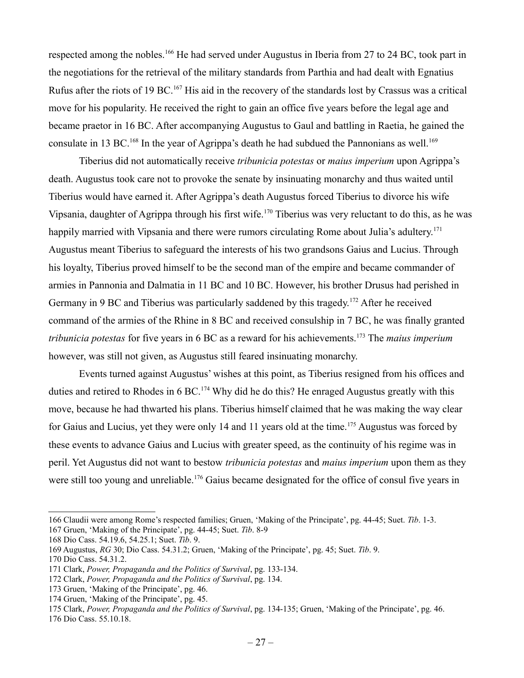respected among the nobles.[166](#page-26-0) He had served under Augustus in Iberia from 27 to 24 BC, took part in the negotiations for the retrieval of the military standards from Parthia and had dealt with Egnatius Rufus after the riots of 19 BC.<sup>[167](#page-26-1)</sup> His aid in the recovery of the standards lost by Crassus was a critical move for his popularity. He received the right to gain an office five years before the legal age and became praetor in 16 BC. After accompanying Augustus to Gaul and battling in Raetia, he gained the consulate in 13 BC.<sup>[168](#page-26-2)</sup> In the year of Agrippa's death he had subdued the Pannonians as well.<sup>[169](#page-26-3)</sup>

Tiberius did not automatically receive *tribunicia potestas* or *maius imperium* upon Agrippa's death. Augustus took care not to provoke the senate by insinuating monarchy and thus waited until Tiberius would have earned it. After Agrippa's death Augustus forced Tiberius to divorce his wife Vipsania, daughter of Agrippa through his first wife.[170](#page-26-4) Tiberius was very reluctant to do this, as he was happily married with Vipsania and there were rumors circulating Rome about Julia's adultery.<sup>[171](#page-26-5)</sup> Augustus meant Tiberius to safeguard the interests of his two grandsons Gaius and Lucius. Through his loyalty, Tiberius proved himself to be the second man of the empire and became commander of armies in Pannonia and Dalmatia in 11 BC and 10 BC. However, his brother Drusus had perished in Germany in 9 BC and Tiberius was particularly saddened by this tragedy.<sup>[172](#page-26-6)</sup> After he received command of the armies of the Rhine in 8 BC and received consulship in 7 BC, he was finally granted *tribunicia potestas* for five years in 6 BC as a reward for his achievements.[173](#page-26-7) The *maius imperium* however, was still not given, as Augustus still feared insinuating monarchy.

Events turned against Augustus' wishes at this point, as Tiberius resigned from his offices and duties and retired to Rhodes in  $6 \text{ BC}$ .<sup>[174](#page-26-8)</sup> Why did he do this? He enraged Augustus greatly with this move, because he had thwarted his plans. Tiberius himself claimed that he was making the way clear for Gaius and Lucius, yet they were only 14 and 11 years old at the time.<sup>[175](#page-26-9)</sup> Augustus was forced by these events to advance Gaius and Lucius with greater speed, as the continuity of his regime was in peril. Yet Augustus did not want to bestow *tribunicia potestas* and *maius imperium* upon them as they were still too young and unreliable.<sup>[176](#page-26-10)</sup> Gaius became designated for the office of consul five years in

<span id="page-26-0"></span><sup>166</sup> Claudii were among Rome's respected families; Gruen, 'Making of the Principate', pg. 44-45; Suet. *Tib*. 1-3.

<span id="page-26-1"></span><sup>167</sup> Gruen, 'Making of the Principate', pg. 44-45; Suet. *Tib*. 8-9

<span id="page-26-2"></span><sup>168</sup> Dio Cass. 54.19.6, 54.25.1; Suet. *Tib*. 9.

<span id="page-26-3"></span><sup>169</sup> Augustus, *RG* 30; Dio Cass. 54.31.2; Gruen, 'Making of the Principate', pg. 45; Suet. *Tib*. 9.

<span id="page-26-4"></span><sup>170</sup> Dio Cass. 54.31.2.

<span id="page-26-5"></span><sup>171</sup> Clark, *Power, Propaganda and the Politics of Survival*, pg. 133-134.

<span id="page-26-6"></span><sup>172</sup> Clark, *Power, Propaganda and the Politics of Survival*, pg. 134.

<span id="page-26-7"></span><sup>173</sup> Gruen, 'Making of the Principate', pg. 46.

<span id="page-26-8"></span><sup>174</sup> Gruen, 'Making of the Principate', pg. 45.

<span id="page-26-9"></span><sup>175</sup> Clark, *Power, Propaganda and the Politics of Survival*, pg. 134-135; Gruen, 'Making of the Principate', pg. 46.

<span id="page-26-10"></span><sup>176</sup> Dio Cass. 55.10.18.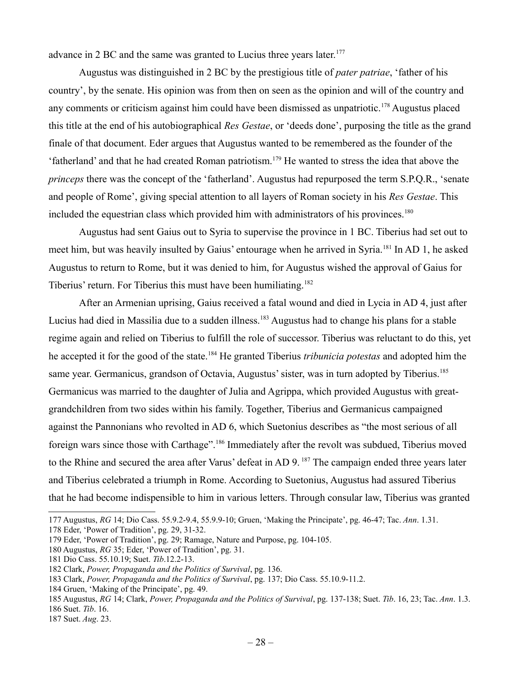advance in 2 BC and the same was granted to Lucius three years later.<sup>[177](#page-27-0)</sup>

Augustus was distinguished in 2 BC by the prestigious title of *pater patriae*, 'father of his country', by the senate. His opinion was from then on seen as the opinion and will of the country and any comments or criticism against him could have been dismissed as unpatriotic.<sup>[178](#page-27-1)</sup> Augustus placed this title at the end of his autobiographical *Res Gestae*, or 'deeds done', purposing the title as the grand finale of that document. Eder argues that Augustus wanted to be remembered as the founder of the 'fatherland' and that he had created Roman patriotism.[179](#page-27-2) He wanted to stress the idea that above the *princeps* there was the concept of the 'fatherland'. Augustus had repurposed the term S.P.Q.R., 'senate and people of Rome', giving special attention to all layers of Roman society in his *Res Gestae*. This included the equestrian class which provided him with administrators of his provinces.<sup>[180](#page-27-3)</sup>

Augustus had sent Gaius out to Syria to supervise the province in 1 BC. Tiberius had set out to meet him, but was heavily insulted by Gaius' entourage when he arrived in Syria.[181](#page-27-4) In AD 1, he asked Augustus to return to Rome, but it was denied to him, for Augustus wished the approval of Gaius for Tiberius' return. For Tiberius this must have been humiliating.<sup>[182](#page-27-5)</sup>

After an Armenian uprising, Gaius received a fatal wound and died in Lycia in AD 4, just after Lucius had died in Massilia due to a sudden illness.<sup>[183](#page-27-6)</sup> Augustus had to change his plans for a stable regime again and relied on Tiberius to fulfill the role of successor. Tiberius was reluctant to do this, yet he accepted it for the good of the state.[184](#page-27-7) He granted Tiberius *tribunicia potestas* and adopted him the same year. Germanicus, grandson of Octavia, Augustus' sister, was in turn adopted by Tiberius.<sup>[185](#page-27-8)</sup> Germanicus was married to the daughter of Julia and Agrippa, which provided Augustus with greatgrandchildren from two sides within his family. Together, Tiberius and Germanicus campaigned against the Pannonians who revolted in AD 6, which Suetonius describes as "the most serious of all foreign wars since those with Carthage".<sup>[186](#page-27-9)</sup> Immediately after the revolt was subdued, Tiberius moved to the Rhine and secured the area after Varus' defeat in AD 9.<sup>[187](#page-27-10)</sup> The campaign ended three years later and Tiberius celebrated a triumph in Rome. According to Suetonius, Augustus had assured Tiberius that he had become indispensible to him in various letters. Through consular law, Tiberius was granted

<span id="page-27-1"></span>178 Eder, 'Power of Tradition', pg. 29, 31-32.

<span id="page-27-7"></span>184 Gruen, 'Making of the Principate', pg. 49.

<span id="page-27-0"></span><sup>177</sup> Augustus, *RG* 14; Dio Cass. 55.9.2-9.4, 55.9.9-10; Gruen, 'Making the Principate', pg. 46-47; Tac. *Ann*. 1.31.

<span id="page-27-2"></span><sup>179</sup> Eder, 'Power of Tradition', pg. 29; Ramage, Nature and Purpose, pg. 104-105.

<span id="page-27-3"></span><sup>180</sup> Augustus, *RG* 35; Eder, 'Power of Tradition', pg. 31.

<span id="page-27-4"></span><sup>181</sup> Dio Cass. 55.10.19; Suet. *Tib*.12.2-13.

<span id="page-27-5"></span><sup>182</sup> Clark, *Power, Propaganda and the Politics of Survival*, pg. 136.

<span id="page-27-6"></span><sup>183</sup> Clark, *Power, Propaganda and the Politics of Survival*, pg. 137; Dio Cass. 55.10.9-11.2.

<span id="page-27-9"></span><span id="page-27-8"></span><sup>185</sup> Augustus, *RG* 14; Clark, *Power, Propaganda and the Politics of Survival*, pg. 137-138; Suet. *Tib*. 16, 23; Tac. *Ann*. 1.3. 186 Suet. *Tib*. 16.

<span id="page-27-10"></span><sup>187</sup> Suet. *Aug*. 23.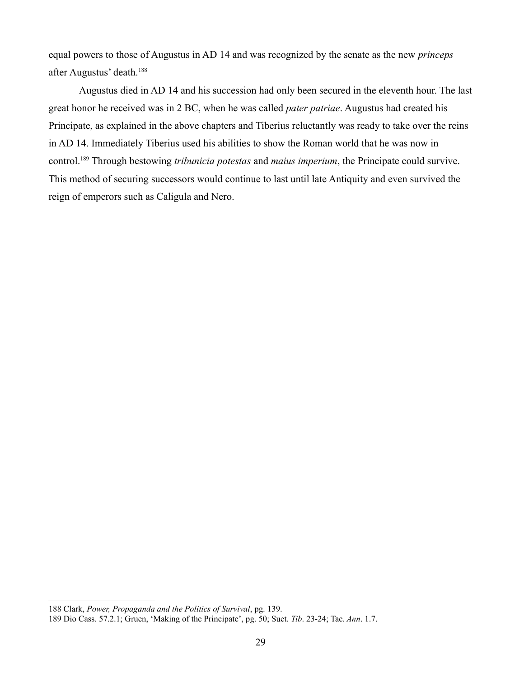equal powers to those of Augustus in AD 14 and was recognized by the senate as the new *princeps* after Augustus' death.[188](#page-28-0)

Augustus died in AD 14 and his succession had only been secured in the eleventh hour. The last great honor he received was in 2 BC, when he was called *pater patriae*. Augustus had created his Principate, as explained in the above chapters and Tiberius reluctantly was ready to take over the reins in AD 14. Immediately Tiberius used his abilities to show the Roman world that he was now in control.[189](#page-28-1) Through bestowing *tribunicia potestas* and *maius imperium*, the Principate could survive. This method of securing successors would continue to last until late Antiquity and even survived the reign of emperors such as Caligula and Nero.

<span id="page-28-0"></span><sup>188</sup> Clark, *Power, Propaganda and the Politics of Survival*, pg. 139.

<span id="page-28-1"></span><sup>189</sup> Dio Cass. 57.2.1; Gruen, 'Making of the Principate', pg. 50; Suet. *Tib*. 23-24; Tac. *Ann*. 1.7.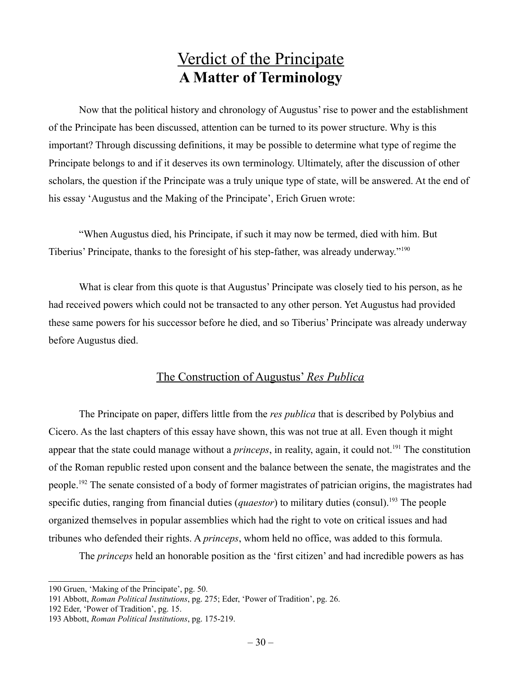### Verdict of the Principate **A Matter of Terminology**

Now that the political history and chronology of Augustus' rise to power and the establishment of the Principate has been discussed, attention can be turned to its power structure. Why is this important? Through discussing definitions, it may be possible to determine what type of regime the Principate belongs to and if it deserves its own terminology. Ultimately, after the discussion of other scholars, the question if the Principate was a truly unique type of state, will be answered. At the end of his essay 'Augustus and the Making of the Principate', Erich Gruen wrote:

"When Augustus died, his Principate, if such it may now be termed, died with him. But Tiberius' Principate, thanks to the foresight of his step-father, was already underway."[190](#page-29-0)

What is clear from this quote is that Augustus' Principate was closely tied to his person, as he had received powers which could not be transacted to any other person. Yet Augustus had provided these same powers for his successor before he died, and so Tiberius' Principate was already underway before Augustus died.

#### The Construction of Augustus' *Res Publica*

The Principate on paper, differs little from the *res publica* that is described by Polybius and Cicero. As the last chapters of this essay have shown, this was not true at all. Even though it might appear that the state could manage without a *princeps*, in reality, again, it could not.<sup>[191](#page-29-1)</sup> The constitution of the Roman republic rested upon consent and the balance between the senate, the magistrates and the people.[192](#page-29-2) The senate consisted of a body of former magistrates of patrician origins, the magistrates had specific duties, ranging from financial duties (*quaestor*) to military duties (consul).<sup>[193](#page-29-3)</sup> The people organized themselves in popular assemblies which had the right to vote on critical issues and had tribunes who defended their rights. A *princeps*, whom held no office, was added to this formula.

The *princeps* held an honorable position as the 'first citizen' and had incredible powers as has

<span id="page-29-0"></span><sup>190</sup> Gruen, 'Making of the Principate', pg. 50.

<span id="page-29-1"></span><sup>191</sup> Abbott, *Roman Political Institutions*, pg. 275; Eder, 'Power of Tradition', pg. 26.

<span id="page-29-2"></span><sup>192</sup> Eder, 'Power of Tradition', pg. 15.

<span id="page-29-3"></span><sup>193</sup> Abbott, *Roman Political Institutions*, pg. 175-219.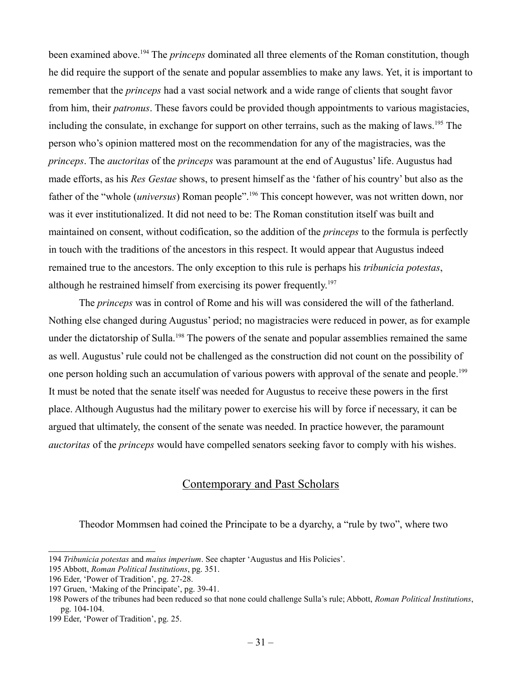been examined above.<sup>[194](#page-30-0)</sup> The *princeps* dominated all three elements of the Roman constitution, though he did require the support of the senate and popular assemblies to make any laws. Yet, it is important to remember that the *princeps* had a vast social network and a wide range of clients that sought favor from him, their *patronus*. These favors could be provided though appointments to various magistacies, including the consulate, in exchange for support on other terrains, such as the making of laws.<sup>[195](#page-30-1)</sup> The person who's opinion mattered most on the recommendation for any of the magistracies, was the *princeps*. The *auctoritas* of the *princeps* was paramount at the end of Augustus' life. Augustus had made efforts, as his *Res Gestae* shows, to present himself as the 'father of his country' but also as the father of the "whole *(universus)* Roman people".<sup>[196](#page-30-2)</sup> This concept however, was not written down, nor was it ever institutionalized. It did not need to be: The Roman constitution itself was built and maintained on consent, without codification, so the addition of the *princeps* to the formula is perfectly in touch with the traditions of the ancestors in this respect. It would appear that Augustus indeed remained true to the ancestors. The only exception to this rule is perhaps his *tribunicia potestas*, although he restrained himself from exercising its power frequently.<sup>[197](#page-30-3)</sup>

The *princeps* was in control of Rome and his will was considered the will of the fatherland. Nothing else changed during Augustus' period; no magistracies were reduced in power, as for example under the dictatorship of Sulla.<sup>[198](#page-30-4)</sup> The powers of the senate and popular assemblies remained the same as well. Augustus' rule could not be challenged as the construction did not count on the possibility of one person holding such an accumulation of various powers with approval of the senate and people.<sup>[199](#page-30-5)</sup> It must be noted that the senate itself was needed for Augustus to receive these powers in the first place. Although Augustus had the military power to exercise his will by force if necessary, it can be argued that ultimately, the consent of the senate was needed. In practice however, the paramount *auctoritas* of the *princeps* would have compelled senators seeking favor to comply with his wishes.

#### Contemporary and Past Scholars

Theodor Mommsen had coined the Principate to be a dyarchy, a "rule by two", where two

<span id="page-30-0"></span><sup>194</sup> *Tribunicia potestas* and *maius imperium*. See chapter 'Augustus and His Policies'.

<span id="page-30-1"></span><sup>195</sup> Abbott, *Roman Political Institutions*, pg. 351.

<span id="page-30-2"></span><sup>196</sup> Eder, 'Power of Tradition', pg. 27-28.

<span id="page-30-3"></span><sup>197</sup> Gruen, 'Making of the Principate', pg. 39-41.

<span id="page-30-4"></span><sup>198</sup> Powers of the tribunes had been reduced so that none could challenge Sulla's rule; Abbott, *Roman Political Institutions*, pg. 104-104.

<span id="page-30-5"></span><sup>199</sup> Eder, 'Power of Tradition', pg. 25.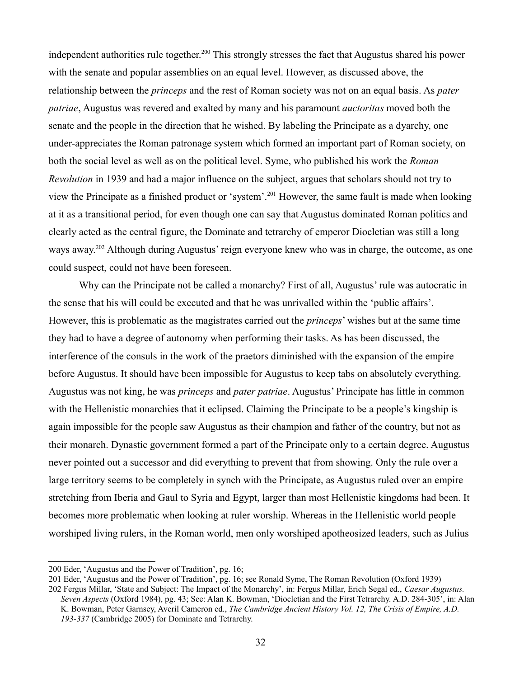independent authorities rule together.<sup>[200](#page-31-0)</sup> This strongly stresses the fact that Augustus shared his power with the senate and popular assemblies on an equal level. However, as discussed above, the relationship between the *princeps* and the rest of Roman society was not on an equal basis. As *pater patriae*, Augustus was revered and exalted by many and his paramount *auctoritas* moved both the senate and the people in the direction that he wished. By labeling the Principate as a dyarchy, one under-appreciates the Roman patronage system which formed an important part of Roman society, on both the social level as well as on the political level. Syme, who published his work the *Roman Revolution* in 1939 and had a major influence on the subject, argues that scholars should not try to view the Principate as a finished product or 'system'.[201](#page-31-1) However, the same fault is made when looking at it as a transitional period, for even though one can say that Augustus dominated Roman politics and clearly acted as the central figure, the Dominate and tetrarchy of emperor Diocletian was still a long ways away.<sup>[202](#page-31-2)</sup> Although during Augustus' reign everyone knew who was in charge, the outcome, as one could suspect, could not have been foreseen.

Why can the Principate not be called a monarchy? First of all, Augustus' rule was autocratic in the sense that his will could be executed and that he was unrivalled within the 'public affairs'. However, this is problematic as the magistrates carried out the *princeps*' wishes but at the same time they had to have a degree of autonomy when performing their tasks. As has been discussed, the interference of the consuls in the work of the praetors diminished with the expansion of the empire before Augustus. It should have been impossible for Augustus to keep tabs on absolutely everything. Augustus was not king, he was *princeps* and *pater patriae*. Augustus' Principate has little in common with the Hellenistic monarchies that it eclipsed. Claiming the Principate to be a people's kingship is again impossible for the people saw Augustus as their champion and father of the country, but not as their monarch. Dynastic government formed a part of the Principate only to a certain degree. Augustus never pointed out a successor and did everything to prevent that from showing. Only the rule over a large territory seems to be completely in synch with the Principate, as Augustus ruled over an empire stretching from Iberia and Gaul to Syria and Egypt, larger than most Hellenistic kingdoms had been. It becomes more problematic when looking at ruler worship. Whereas in the Hellenistic world people worshiped living rulers, in the Roman world, men only worshiped apotheosized leaders, such as Julius

<span id="page-31-0"></span><sup>200</sup> Eder, 'Augustus and the Power of Tradition', pg. 16;

<span id="page-31-1"></span><sup>201</sup> Eder, 'Augustus and the Power of Tradition', pg. 16; see Ronald Syme, The Roman Revolution (Oxford 1939)

<span id="page-31-2"></span><sup>202</sup> Fergus Millar, 'State and Subject: The Impact of the Monarchy', in: Fergus Millar, Erich Segal ed., *Caesar Augustus. Seven Aspects* (Oxford 1984), pg. 43; See: Alan K. Bowman, 'Diocletian and the First Tetrarchy. A.D. 284-305', in: Alan K. Bowman, Peter Garnsey, Averil Cameron ed., *The Cambridge Ancient History Vol. 12, The Crisis of Empire, A.D. 193-337* (Cambridge 2005) for Dominate and Tetrarchy.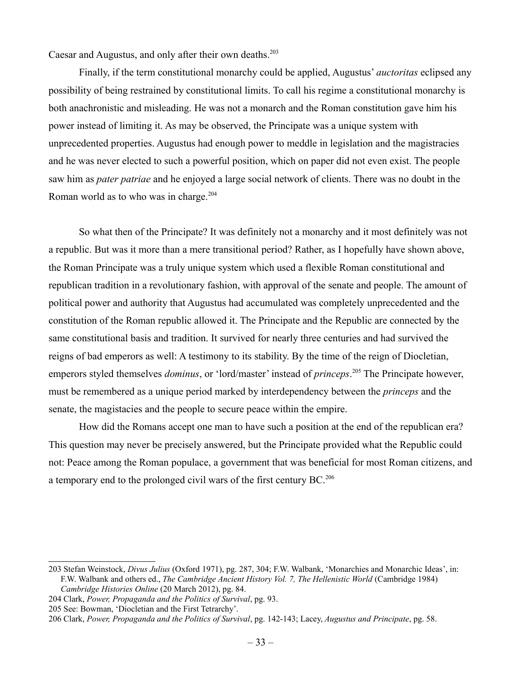Caesar and Augustus, and only after their own deaths.<sup>[203](#page-32-0)</sup>

Finally, if the term constitutional monarchy could be applied, Augustus' *auctoritas* eclipsed any possibility of being restrained by constitutional limits. To call his regime a constitutional monarchy is both anachronistic and misleading. He was not a monarch and the Roman constitution gave him his power instead of limiting it. As may be observed, the Principate was a unique system with unprecedented properties. Augustus had enough power to meddle in legislation and the magistracies and he was never elected to such a powerful position, which on paper did not even exist. The people saw him as *pater patriae* and he enjoyed a large social network of clients. There was no doubt in the Roman world as to who was in charge.<sup>[204](#page-32-1)</sup>

So what then of the Principate? It was definitely not a monarchy and it most definitely was not a republic. But was it more than a mere transitional period? Rather, as I hopefully have shown above, the Roman Principate was a truly unique system which used a flexible Roman constitutional and republican tradition in a revolutionary fashion, with approval of the senate and people. The amount of political power and authority that Augustus had accumulated was completely unprecedented and the constitution of the Roman republic allowed it. The Principate and the Republic are connected by the same constitutional basis and tradition. It survived for nearly three centuries and had survived the reigns of bad emperors as well: A testimony to its stability. By the time of the reign of Diocletian, emperors styled themselves *dominus*, or 'lord/master' instead of *princeps*. [205](#page-32-2) The Principate however, must be remembered as a unique period marked by interdependency between the *princeps* and the senate, the magistacies and the people to secure peace within the empire.

How did the Romans accept one man to have such a position at the end of the republican era? This question may never be precisely answered, but the Principate provided what the Republic could not: Peace among the Roman populace, a government that was beneficial for most Roman citizens, and a temporary end to the prolonged civil wars of the first century BC.[206](#page-32-3)

<span id="page-32-0"></span><sup>203</sup> Stefan Weinstock, *Divus Julius* (Oxford 1971), pg. 287, 304; F.W. Walbank, 'Monarchies and Monarchic Ideas', in: F.W. Walbank and others ed., *The Cambridge Ancient History Vol. 7, The Hellenistic World* (Cambridge 1984) *Cambridge Histories Online* (20 March 2012), pg. 84.

<span id="page-32-1"></span><sup>204</sup> Clark, *Power, Propaganda and the Politics of Survival*, pg. 93.

<span id="page-32-2"></span><sup>205</sup> See: Bowman, 'Diocletian and the First Tetrarchy'.

<span id="page-32-3"></span><sup>206</sup> Clark, *Power, Propaganda and the Politics of Survival*, pg. 142-143; Lacey, *Augustus and Principate*, pg. 58.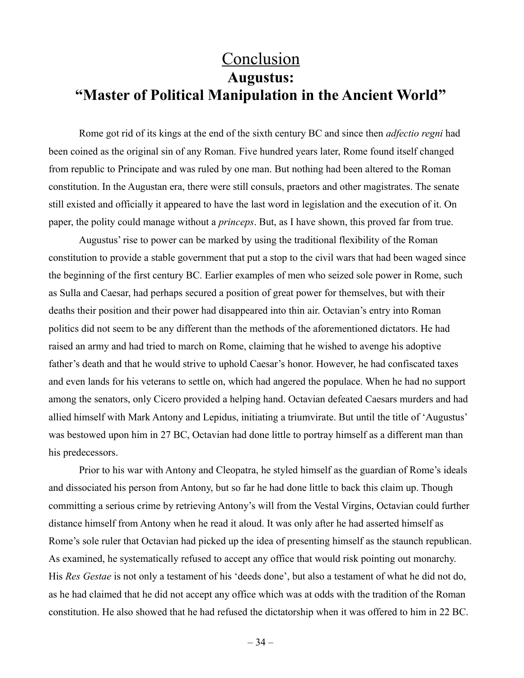### **Conclusion Augustus: "Master of Political Manipulation in the Ancient World"**

Rome got rid of its kings at the end of the sixth century BC and since then *adfectio regni* had been coined as the original sin of any Roman. Five hundred years later, Rome found itself changed from republic to Principate and was ruled by one man. But nothing had been altered to the Roman constitution. In the Augustan era, there were still consuls, praetors and other magistrates. The senate still existed and officially it appeared to have the last word in legislation and the execution of it. On paper, the polity could manage without a *princeps*. But, as I have shown, this proved far from true.

Augustus' rise to power can be marked by using the traditional flexibility of the Roman constitution to provide a stable government that put a stop to the civil wars that had been waged since the beginning of the first century BC. Earlier examples of men who seized sole power in Rome, such as Sulla and Caesar, had perhaps secured a position of great power for themselves, but with their deaths their position and their power had disappeared into thin air. Octavian's entry into Roman politics did not seem to be any different than the methods of the aforementioned dictators. He had raised an army and had tried to march on Rome, claiming that he wished to avenge his adoptive father's death and that he would strive to uphold Caesar's honor. However, he had confiscated taxes and even lands for his veterans to settle on, which had angered the populace. When he had no support among the senators, only Cicero provided a helping hand. Octavian defeated Caesars murders and had allied himself with Mark Antony and Lepidus, initiating a triumvirate. But until the title of 'Augustus' was bestowed upon him in 27 BC, Octavian had done little to portray himself as a different man than his predecessors.

Prior to his war with Antony and Cleopatra, he styled himself as the guardian of Rome's ideals and dissociated his person from Antony, but so far he had done little to back this claim up. Though committing a serious crime by retrieving Antony's will from the Vestal Virgins, Octavian could further distance himself from Antony when he read it aloud. It was only after he had asserted himself as Rome's sole ruler that Octavian had picked up the idea of presenting himself as the staunch republican. As examined, he systematically refused to accept any office that would risk pointing out monarchy. His *Res Gestae* is not only a testament of his 'deeds done', but also a testament of what he did not do, as he had claimed that he did not accept any office which was at odds with the tradition of the Roman constitution. He also showed that he had refused the dictatorship when it was offered to him in 22 BC.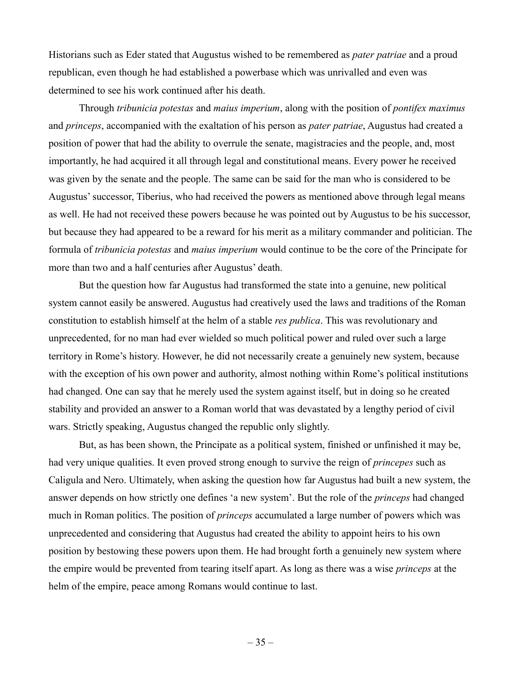Historians such as Eder stated that Augustus wished to be remembered as *pater patriae* and a proud republican, even though he had established a powerbase which was unrivalled and even was determined to see his work continued after his death.

Through *tribunicia potestas* and *maius imperium*, along with the position of *pontifex maximus* and *princeps*, accompanied with the exaltation of his person as *pater patriae*, Augustus had created a position of power that had the ability to overrule the senate, magistracies and the people, and, most importantly, he had acquired it all through legal and constitutional means. Every power he received was given by the senate and the people. The same can be said for the man who is considered to be Augustus' successor, Tiberius, who had received the powers as mentioned above through legal means as well. He had not received these powers because he was pointed out by Augustus to be his successor, but because they had appeared to be a reward for his merit as a military commander and politician. The formula of *tribunicia potestas* and *maius imperium* would continue to be the core of the Principate for more than two and a half centuries after Augustus' death.

But the question how far Augustus had transformed the state into a genuine, new political system cannot easily be answered. Augustus had creatively used the laws and traditions of the Roman constitution to establish himself at the helm of a stable *res publica*. This was revolutionary and unprecedented, for no man had ever wielded so much political power and ruled over such a large territory in Rome's history. However, he did not necessarily create a genuinely new system, because with the exception of his own power and authority, almost nothing within Rome's political institutions had changed. One can say that he merely used the system against itself, but in doing so he created stability and provided an answer to a Roman world that was devastated by a lengthy period of civil wars. Strictly speaking, Augustus changed the republic only slightly.

But, as has been shown, the Principate as a political system, finished or unfinished it may be, had very unique qualities. It even proved strong enough to survive the reign of *princepes* such as Caligula and Nero. Ultimately, when asking the question how far Augustus had built a new system, the answer depends on how strictly one defines 'a new system'. But the role of the *princeps* had changed much in Roman politics. The position of *princeps* accumulated a large number of powers which was unprecedented and considering that Augustus had created the ability to appoint heirs to his own position by bestowing these powers upon them. He had brought forth a genuinely new system where the empire would be prevented from tearing itself apart. As long as there was a wise *princeps* at the helm of the empire, peace among Romans would continue to last.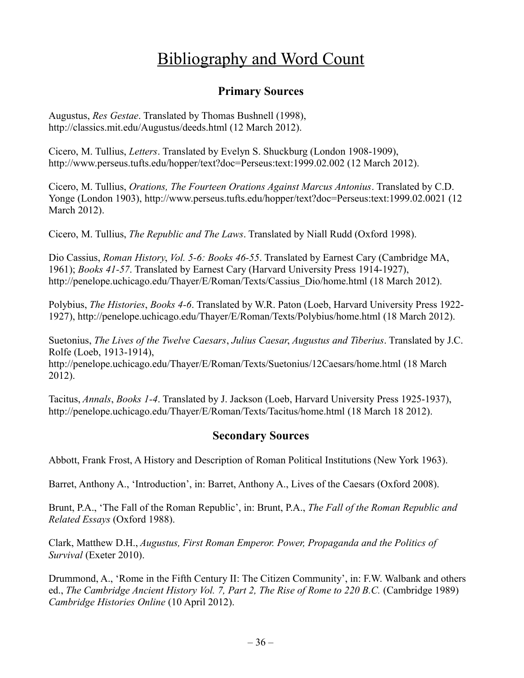### Bibliography and Word Count

#### **Primary Sources**

Augustus, *Res Gestae*. Translated by Thomas Bushnell (1998), http://classics.mit.edu/Augustus/deeds.html (12 March 2012).

Cicero, M. Tullius, *Letters*. Translated by Evelyn S. Shuckburg (London 1908-1909), http://www.perseus.tufts.edu/hopper/text?doc=Perseus:text:1999.02.002 (12 March 2012).

Cicero, M. Tullius, *Orations, The Fourteen Orations Against Marcus Antonius*. Translated by C.D. Yonge (London 1903), http://www.perseus.tufts.edu/hopper/text?doc=Perseus:text:1999.02.0021 (12 March 2012).

Cicero, M. Tullius, *The Republic and The Laws*. Translated by Niall Rudd (Oxford 1998).

Dio Cassius, *Roman History*, *Vol. 5-6: Books 46-55*. Translated by Earnest Cary (Cambridge MA, 1961); *Books 41-57*. Translated by Earnest Cary (Harvard University Press 1914-1927), http://penelope.uchicago.edu/Thayer/E/Roman/Texts/Cassius\_Dio/home.html (18 March 2012).

Polybius, *The Histories*, *Books 4-6*. Translated by W.R. Paton (Loeb, Harvard University Press 1922- 1927), http://penelope.uchicago.edu/Thayer/E/Roman/Texts/Polybius/home.html (18 March 2012).

Suetonius, *The Lives of the Twelve Caesars*, *Julius Caesar*, *Augustus and Tiberius*. Translated by J.C. Rolfe (Loeb, 1913-1914),

http://penelope.uchicago.edu/Thayer/E/Roman/Texts/Suetonius/12Caesars/home.html (18 March 2012).

Tacitus, *Annals*, *Books 1-4*. Translated by J. Jackson (Loeb, Harvard University Press 1925-1937), http://penelope.uchicago.edu/Thayer/E/Roman/Texts/Tacitus/home.html (18 March 18 2012).

#### **Secondary Sources**

Abbott, Frank Frost, A History and Description of Roman Political Institutions (New York 1963).

Barret, Anthony A., 'Introduction', in: Barret, Anthony A., Lives of the Caesars (Oxford 2008).

Brunt, P.A., 'The Fall of the Roman Republic', in: Brunt, P.A., *The Fall of the Roman Republic and Related Essays* (Oxford 1988).

Clark, Matthew D.H., *Augustus, First Roman Emperor. Power, Propaganda and the Politics of Survival* (Exeter 2010).

Drummond, A., 'Rome in the Fifth Century II: The Citizen Community', in: F.W. Walbank and others ed., *The Cambridge Ancient History Vol. 7, Part 2, The Rise of Rome to 220 B.C.* (Cambridge 1989) *Cambridge Histories Online* (10 April 2012).